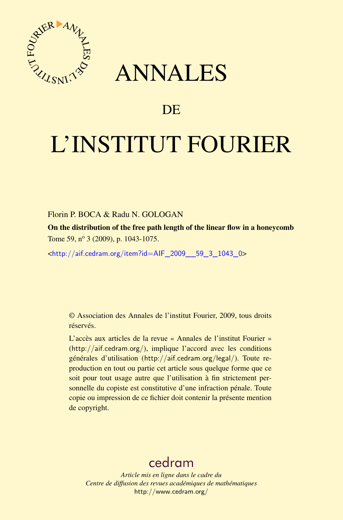

# ANNALES

# **DE**

# L'INSTITUT FOURIER

### Florin P. BOCA & Radu N. GOLOGAN

On the distribution of the free path length of the linear flow in a honeycomb Tome 59, nº 3 (2009), p. 1043-1075.

<[http://aif.cedram.org/item?id=AIF\\_2009\\_\\_59\\_3\\_1043\\_0](http://aif.cedram.org/item?id=AIF_2009__59_3_1043_0)>

© Association des Annales de l'institut Fourier, 2009, tous droits réservés.

L'accès aux articles de la revue « Annales de l'institut Fourier » (<http://aif.cedram.org/>), implique l'accord avec les conditions générales d'utilisation (<http://aif.cedram.org/legal/>). Toute reproduction en tout ou partie cet article sous quelque forme que ce soit pour tout usage autre que l'utilisation à fin strictement personnelle du copiste est constitutive d'une infraction pénale. Toute copie ou impression de ce fichier doit contenir la présente mention de copyright.

# [cedram](http://www.cedram.org/)

*Article mis en ligne dans le cadre du Centre de diffusion des revues académiques de mathématiques* <http://www.cedram.org/>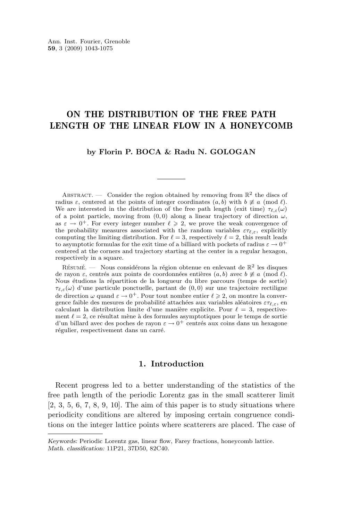## ON THE DISTRIBUTION OF THE FREE PATH LENGTH OF THE LINEAR FLOW IN A HONEYCOMB

#### **by Florin P. BOCA & Radu N. GOLOGAN**

ABSTRACT. — Consider the region obtained by removing from  $\mathbb{R}^2$  the discs of radius  $\varepsilon$ , centered at the points of integer coordinates  $(a, b)$  with  $b \not\equiv a \pmod{l}$ . We are interested in the distribution of the free path length (exit time)  $\tau_{\ell,\varepsilon}(\omega)$ of a point particle, moving from  $(0, 0)$  along a linear trajectory of direction  $\omega$ , as  $\varepsilon \to 0^+$ . For every integer number  $\ell \geqslant 2$ , we prove the weak convergence of the probability measures associated with the random variables  $\varepsilon\tau_{\ell,\varepsilon}$ , explicitly computing the limiting distribution. For  $\ell = 3$ , respectively  $\ell = 2$ , this result leads to asymptotic formulas for the exit time of a billiard with pockets of radius  $\varepsilon \to 0^+$ centered at the corners and trajectory starting at the center in a regular hexagon, respectively in a square.

RÉSUMÉ. — Nous considérons la région obtenue en enlevant de  $\mathbb{R}^2$  les disques de rayon  $\varepsilon$ , centrés aux points de coordonnées entières  $(a, b)$  avec  $b \not\equiv a \pmod{l}$ . Nous étudions la répartition de la longueur du libre parcours (temps de sortie)  $\tau_{\ell,\varepsilon}(\omega)$  d'une particule ponctuelle, partant de  $(0,0)$  sur une trajectoire rectiligne de direction  $\omega$  quand  $\varepsilon \to 0^+$ . Pour tout nombre entier  $\ell \geq 2$ , on montre la convergence faible des mesures de probabilité attachées aux variables aléatoires  $\varepsilon\tau_{\ell,\varepsilon}$ , en calculant la distribution limite d'une manière explicite. Pour  $\ell = 3$ , respectivement  $\ell = 2$ , ce résultat mène à des formules asymptotiques pour le temps de sortie d'un billard avec des poches de rayon  $\varepsilon \to 0^+$  centrés aux coins dans un hexagone régulier, respectivement dans un carré.

#### **1. Introduction**

Recent progress led to a better understanding of the statistics of the free path length of the periodic Lorentz gas in the small scatterer limit  $[2, 3, 5, 6, 7, 8, 9, 10]$  $[2, 3, 5, 6, 7, 8, 9, 10]$  $[2, 3, 5, 6, 7, 8, 9, 10]$  $[2, 3, 5, 6, 7, 8, 9, 10]$  $[2, 3, 5, 6, 7, 8, 9, 10]$  $[2, 3, 5, 6, 7, 8, 9, 10]$  $[2, 3, 5, 6, 7, 8, 9, 10]$  $[2, 3, 5, 6, 7, 8, 9, 10]$  $[2, 3, 5, 6, 7, 8, 9, 10]$  $[2, 3, 5, 6, 7, 8, 9, 10]$  $[2, 3, 5, 6, 7, 8, 9, 10]$  $[2, 3, 5, 6, 7, 8, 9, 10]$  $[2, 3, 5, 6, 7, 8, 9, 10]$  $[2, 3, 5, 6, 7, 8, 9, 10]$  $[2, 3, 5, 6, 7, 8, 9, 10]$ . The aim of this paper is to study situations where periodicity conditions are altered by imposing certain congruence conditions on the integer lattice points where scatterers are placed. The case of

*Keywords:* Periodic Lorentz gas, linear flow, Farey fractions, honeycomb lattice. *Math. classification:* 11P21, 37D50, 82C40.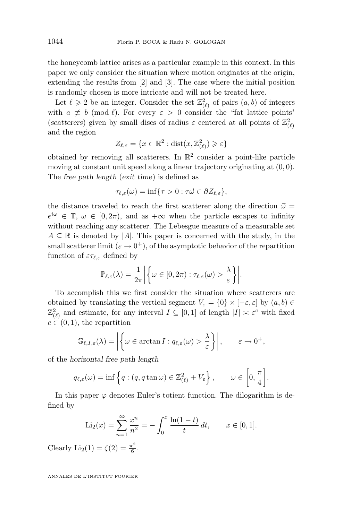the honeycomb lattice arises as a particular example in this context. In this paper we only consider the situation where motion originates at the origin, extending the results from [\[2\]](#page-32-0) and [\[3\]](#page-32-0). The case where the initial position is randomly chosen is more intricate and will not be treated here.

Let  $\ell \geq 2$  be an integer. Consider the set  $\mathbb{Z}_{(\ell)}^2$  of pairs  $(a, b)$  of integers with  $a \not\equiv b \pmod{l}$ . For every  $\varepsilon > 0$  consider the "fat lattice points" (*scatterers*) given by small discs of radius  $\varepsilon$  centered at all points of  $\mathbb{Z}_{(\ell)}^2$ and the region

$$
Z_{\ell,\varepsilon} = \{ x \in \mathbb{R}^2 : \text{dist}(x, \mathbb{Z}_{(\ell)}^2) \geqslant \varepsilon \}
$$

obtained by removing all scatterers. In  $\mathbb{R}^2$  consider a point-like particle moving at constant unit speed along a linear trajectory originating at (0, 0). The *free path length* (*exit time*) is defined as

$$
\tau_{\ell,\varepsilon}(\omega)=\inf\{\tau>0:\tau\vec{\omega}\in\partial Z_{\ell,\varepsilon}\},\,
$$

the distance traveled to reach the first scatterer along the direction  $\vec{\omega} =$  $e^{i\omega} \in \mathbb{T}$ ,  $\omega \in [0, 2\pi)$ , and as  $+\infty$  when the particle escapes to infinity without reaching any scatterer. The Lebesgue measure of a measurable set  $A \subseteq \mathbb{R}$  is denoted by |A|. This paper is concerned with the study, in the small scatterer limit  $(\varepsilon \to 0^+)$ , of the asymptotic behavior of the repartition function of  $\varepsilon\tau_{\ell,\varepsilon}$  defined by

$$
\mathbb{P}_{\ell,\varepsilon}(\lambda) = \frac{1}{2\pi} \left| \left\{ \omega \in [0,2\pi) : \tau_{\ell,\varepsilon}(\omega) > \frac{\lambda}{\varepsilon} \right\} \right|.
$$

To accomplish this we first consider the situation where scatterers are obtained by translating the vertical segment  $V_{\varepsilon} = \{0\} \times [-\varepsilon, \varepsilon]$  by  $(a, b) \in$  $\mathbb{Z}_{(\ell)}^2$  and estimate, for any interval  $I \subseteq [0,1]$  of length  $|I| \asymp \varepsilon^c$  with fixed  $c \in (0,1)$ , the repartition

$$
\mathbb{G}_{\ell,I,\varepsilon}(\lambda) = \left| \left\{ \omega \in \arctan I : q_{\ell,\varepsilon}(\omega) > \frac{\lambda}{\varepsilon} \right\} \right|, \qquad \varepsilon \to 0^+,
$$

of the *horizontal free path length*

$$
q_{\ell,\varepsilon}(\omega) = \inf \left\{ q : (q, q \tan \omega) \in \mathbb{Z}_{(\ell)}^2 + V_{\varepsilon} \right\}, \qquad \omega \in \left[0, \frac{\pi}{4}\right].
$$

In this paper  $\varphi$  denotes Euler's totient function. The dilogarithm is defined by

$$
\text{Li}_2(x) = \sum_{n=1}^{\infty} \frac{x^n}{n^2} = -\int_0^x \frac{\ln(1-t)}{t} dt, \qquad x \in [0,1].
$$

Clearly  $\text{Li}_2(1) = \zeta(2) = \frac{\pi^2}{6}$  $\frac{1}{6}$ .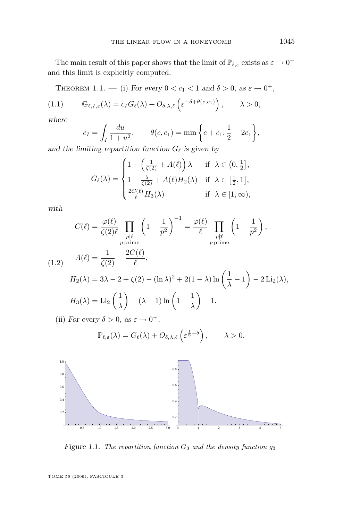<span id="page-3-0"></span>The main result of this paper shows that the limit of  $\mathbb{P}_{\ell,\varepsilon}$  exists as  $\varepsilon \to 0^+$ and this limit is explicitly computed.

THEOREM 1.1. — (i) For every  $0 < c_1 < 1$  and  $\delta > 0$ , as  $\varepsilon \to 0^+$ ,

(1.1) 
$$
\mathbb{G}_{\ell,I,\varepsilon}(\lambda) = c_I G_{\ell}(\lambda) + O_{\delta,\lambda,\ell}\left(\varepsilon^{-\delta + \theta(c,c_1)}\right), \qquad \lambda > 0,
$$

*where*

$$
c_I = \int_I \frac{du}{1+u^2}
$$
,  $\theta(c, c_1) = \min \left\{ c + c_1, \frac{1}{2} - 2c_1 \right\}$ ,

and the limiting repartition function  $G_{\ell}$  is given by

$$
G_{\ell}(\lambda) = \begin{cases} 1 - \left(\frac{1}{\zeta(2)} + A(\ell)\right)\lambda & \text{if } \lambda \in \left(0, \frac{1}{2}\right], \\ 1 - \frac{\lambda}{\zeta(2)} + A(\ell)H_2(\lambda) & \text{if } \lambda \in \left[\frac{1}{2}, 1\right], \\ \frac{2C(\ell)}{\ell}H_3(\lambda) & \text{if } \lambda \in [1, \infty), \end{cases}
$$

*with*

$$
C(\ell) = \frac{\varphi(\ell)}{\zeta(2)\ell} \prod_{\substack{p|\ell \ p \text{ prime}}} \left(1 - \frac{1}{p^2}\right)^{-1} = \frac{\varphi(\ell)}{\ell} \prod_{\substack{p\nmid \ell \ p \text{ prime}}} \left(1 - \frac{1}{p^2}\right),
$$
  
(1.2) 
$$
A(\ell) = \frac{1}{\zeta(2)} - \frac{2C(\ell)}{\ell},
$$

$$
H_2(\lambda) = 3\lambda - 2 + \zeta(2) - (\ln \lambda)^2 + 2(1 - \lambda) \ln\left(\frac{1}{\lambda} - 1\right) - 2 \operatorname{Li}_2(\lambda),
$$

$$
H_3(\lambda) = \operatorname{Li}_2\left(\frac{1}{\lambda}\right) - (\lambda - 1) \ln\left(1 - \frac{1}{\lambda}\right) - 1.
$$

(ii) *For every*  $\delta > 0$ *, as*  $\varepsilon \to 0^+$ *,* 

$$
\mathbb{P}_{\ell,\varepsilon}(\lambda) = G_{\ell}(\lambda) + O_{\delta,\lambda,\ell}\left(\varepsilon^{\frac{1}{8}+\delta}\right), \qquad \lambda > 0.
$$



*Figure 1.1. The repartition function*  $G_3$  *and the density function*  $g_3$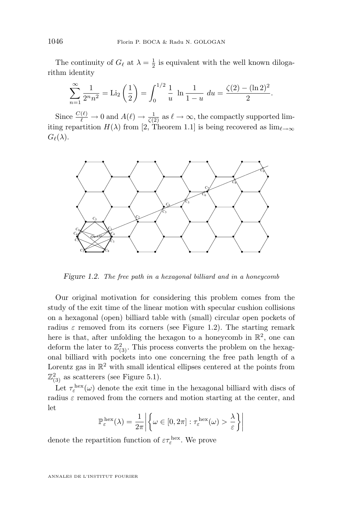<span id="page-4-0"></span>The continuity of  $G_{\ell}$  at  $\lambda = \frac{1}{2}$  is equivalent with the well known dilogarithm identity

$$
\sum_{n=1}^{\infty} \frac{1}{2^n n^2} = \text{Li}_2\left(\frac{1}{2}\right) = \int_0^{1/2} \frac{1}{u} \ln \frac{1}{1-u} du = \frac{\zeta(2) - (\ln 2)^2}{2}.
$$

Since  $\frac{C(\ell)}{\ell} \to 0$  and  $A(\ell) \to \frac{1}{\zeta(2)}$  as  $\ell \to \infty$ , the compactly supported limiting repartition  $H(\lambda)$  from [\[2,](#page-32-0) Theorem 1.1] is being recovered as  $\lim_{\ell\to\infty}$  $G_{\ell}(\lambda)$ .



*Figure 1.2. The free path in a hexagonal billiard and in a honeycomb*

Our original motivation for considering this problem comes from the study of the exit time of the linear motion with specular cushion collisions on a hexagonal (open) billiard table with (small) circular open pockets of radius  $\varepsilon$  removed from its corners (see Figure 1.2). The starting remark here is that, after unfolding the hexagon to a honeycomb in  $\mathbb{R}^2$ , one can deform the later to  $\mathbb{Z}_{(3)}^2$ . This process converts the problem on the hexagonal billiard with pockets into one concerning the free path length of a Lorentz gas in  $\mathbb{R}^2$  with small identical ellipses centered at the points from  $\mathbb{Z}_{(3)}^2$  as scatterers (see Figure [5.1\)](#page-28-0).

Let  $\tau_{\varepsilon}^{\text{hex}}(\omega)$  denote the exit time in the hexagonal billiard with discs of radius  $\varepsilon$  removed from the corners and motion starting at the center, and let

$$
\mathbb{P}_{\varepsilon}^{\text{hex}}(\lambda) = \frac{1}{2\pi} \left| \left\{ \omega \in [0, 2\pi] : \tau_{\varepsilon}^{\text{hex}}(\omega) > \frac{\lambda}{\varepsilon} \right\} \right|
$$

denote the repartition function of  $\varepsilon \tau_{\varepsilon}^{\text{hex}}$ . We prove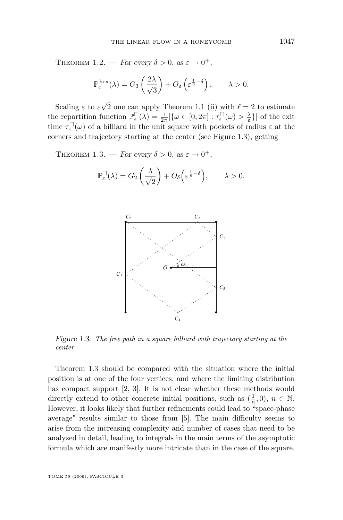THEOREM 1.2. — *For every*  $\delta > 0$ , as  $\varepsilon \to 0^+$ ,

$$
\mathbb{P}_{\varepsilon}^{\text{hex}}(\lambda) = G_3\left(\frac{2\lambda}{\sqrt{3}}\right) + O_\delta\left(\varepsilon^{\frac{1}{8}-\delta}\right), \qquad \lambda > 0.
$$

Scaling  $\varepsilon$  to  $\varepsilon$ √ 2 one can apply Theorem [1.1](#page-3-0) (ii) with  $\ell = 2$  to estimate the repartition function  $\mathbb{P}_{\varepsilon}^{\square}(\lambda) = \frac{1}{2\pi} |\{\omega \in [0, 2\pi] : \tau_{\varepsilon}^{\square}(\omega) > \frac{\lambda}{\varepsilon} \}|$  of the exit time  $\tau_{\varepsilon}^{\square}(\omega)$  of a billiard in the unit square with pockets of radius  $\varepsilon$  at the corners and trajectory starting at the center (see Figure 1.3), getting

THEOREM 1.3. — *For every*  $\delta > 0$ , as  $\varepsilon \to 0^+$ ,

$$
\mathbb{P}_{\varepsilon}^{\square}(\lambda) = G_2\left(\frac{\lambda}{\sqrt{2}}\right) + O_{\delta}\left(\varepsilon^{\frac{1}{8}-\delta}\right), \qquad \lambda > 0.
$$



*Figure 1.3. The free path in a square billiard with trajectory starting at the center*

Theorem 1.3 should be compared with the situation where the initial position is at one of the four vertices, and where the limiting distribution has compact support [\[2,](#page-32-0) [3\]](#page-32-0). It is not clear whether these methods would directly extend to other concrete initial positions, such as  $(\frac{1}{n},0)$ ,  $n \in \mathbb{N}$ . However, it looks likely that further refinements could lead to "space-phase average" results similar to those from [\[5\]](#page-32-0). The main difficulty seems to arise from the increasing complexity and number of cases that need to be analyzed in detail, leading to integrals in the main terms of the asymptotic formula which are manifestly more intricate than in the case of the square.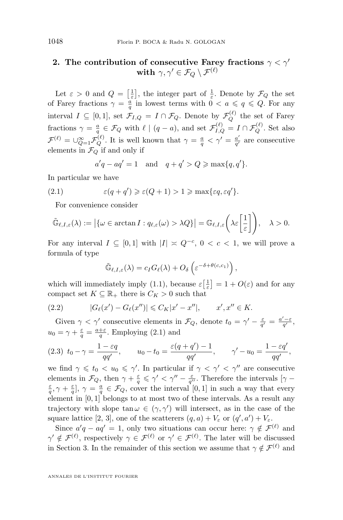## <span id="page-6-0"></span>**2.** The contribution of consecutive Farey fractions  $\gamma < \gamma'$  $\textbf{with} \, \, \gamma, \gamma' \in \mathcal{F}_Q \setminus \mathcal{F}^{(\ell)}$

Let  $\varepsilon > 0$  and  $Q = \left[\frac{1}{\varepsilon}\right]$ , the integer part of  $\frac{1}{\varepsilon}$ . Denote by  $\mathcal{F}_Q$  the set of Farey fractions  $\gamma = \frac{a}{q}$  in lowest terms with  $0 < a \leqslant q \leqslant Q$ . For any interval  $I \subseteq [0,1]$ , set  $\mathcal{F}_{I,Q} = I \cap \mathcal{F}_Q$ . Denote by  $\mathcal{F}_Q^{(\ell)}$  the set of Farey fractions  $\gamma = \frac{a}{q} \in \mathcal{F}_Q$  with  $\ell \mid (q - a)$ , and set  $\mathcal{F}_{I,Q}^{(\ell)} = I \cap \mathcal{F}_Q^{(\ell)}$ . Set also  $\mathcal{F}^{(\ell)} = \cup_{Q=1}^{\infty} \mathcal{F}_Q^{(\ell)}$ . It is well known that  $\gamma = \frac{a}{q} < \gamma' = \frac{a'}{q'}$  $\frac{a'}{q'}$  are consecutive elements in  $\mathcal{F}_Q$  if and only if

$$
a'q - aq' = 1 \quad \text{and} \quad q + q' > Q \ge \max\{q, q'\}.
$$

In particular we have

(2.1) 
$$
\varepsilon(q+q')\geqslant\varepsilon(Q+1)>1\geqslant\max\{\varepsilon q,\varepsilon q'\}.
$$

For convenience consider

$$
\tilde{\mathbb{G}}_{\ell,I,\varepsilon}(\lambda) := \left| \{ \omega \in \arctan I : q_{\ell,\varepsilon}(\omega) > \lambda Q \} \right| = \mathbb{G}_{\ell,I,\varepsilon} \left( \lambda \varepsilon \left[ \frac{1}{\varepsilon} \right] \right), \quad \lambda > 0.
$$

For any interval  $I \subseteq [0,1]$  with  $|I| \times Q^{-c}$ ,  $0 < c < 1$ , we will prove a formula of type

$$
\tilde{\mathbb{G}}_{\ell,I,\varepsilon}(\lambda) = c_I G_{\ell}(\lambda) + O_{\delta}\left(\varepsilon^{-\delta + \theta(c,c_1)}\right),
$$

which will immediately imply [\(1.1\)](#page-3-0), because  $\varepsilon\left[\frac{1}{\varepsilon}\right] = 1 + O(\varepsilon)$  and for any compact set  $K \subseteq \mathbb{R}_+$  there is  $C_K > 0$  such that

(2.2) 
$$
|G_{\ell}(x') - G_{\ell}(x'')| \leq C_K |x' - x''|, \qquad x', x'' \in K.
$$

Given  $\gamma < \gamma'$  consecutive elements in  $\mathcal{F}_Q$ , denote  $t_0 = \gamma' - \frac{\varepsilon}{q'} = \frac{a' - \varepsilon}{q'}$ ,  $u_0 = \gamma + \frac{\varepsilon}{q} = \frac{a+\varepsilon}{q}$ . Employing (2.1) and

$$
(2.3) \t t_0 - \gamma = \frac{1 - \varepsilon q}{qq'}, \t u_0 - t_0 = \frac{\varepsilon (q + q') - 1}{qq'}, \t \gamma' - u_0 = \frac{1 - \varepsilon q'}{qq'},
$$

we find  $\gamma \leq t_0 < u_0 \leq \gamma'$ . In particular if  $\gamma < \gamma' < \gamma''$  are consecutive elements in  $\mathcal{F}_Q$ , then  $\gamma + \frac{\varepsilon}{q} \leq \gamma' < \gamma'' - \frac{\varepsilon}{q''}$ . Therefore the intervals  $[\gamma \frac{\varepsilon}{q}, \gamma + \frac{\varepsilon}{q}, \gamma = \frac{a}{q} \in \mathcal{F}_Q$ , cover the interval  $[0, 1]$  in such a way that every element in [0, 1] belongs to at most two of these intervals. As a result any trajectory with slope  $\tan \omega \in (\gamma, \gamma')$  will intersect, as in the case of the square lattice [\[2,](#page-32-0) [3\]](#page-32-0), one of the scatterers  $(q, a) + V_{\varepsilon}$  or  $(q', a') + V_{\varepsilon}$ .

Since  $a'q - aq' = 1$ , only two situations can occur here:  $\gamma \notin \mathcal{F}^{(\ell)}$  and  $\gamma' \notin \mathcal{F}^{(\ell)}$ , respectively  $\gamma \in \mathcal{F}^{(\ell)}$  or  $\gamma' \in \mathcal{F}^{(\ell)}$ . The later will be discussed in Section 3. In the remainder of this section we assume that  $\gamma \notin \mathcal{F}^{(\ell)}$  and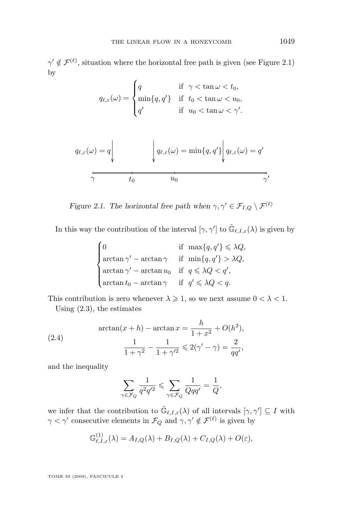<span id="page-7-0"></span> $\gamma' \notin \mathcal{F}^{(\ell)}$ , situation where the horizontal free path is given (see Figure 2.1) by

$$
q_{\ell,\varepsilon}(\omega) = \begin{cases} q & \text{if } \gamma < \tan \omega < t_0, \\ \min\{q,q'\} & \text{if } t_0 < \tan \omega < u_0, \\ q' & \text{if } u_0 < \tan \omega < \gamma'. \end{cases}
$$

$$
q_{\ell,\varepsilon}(\omega) = q \Bigg|_{\substack{q_{\ell,\varepsilon}(\omega) = \min\{q, q'\} \Bigg| q_{\ell,\varepsilon}(\omega) = q' \Bigg| \\ \frac{1}{\gamma} \frac{1}{t_0} \frac{1}{t_0} \frac{1}{t_0} \frac{1}{t_0} \frac{1}{t_0} \frac{1}{t_0} \frac{1}{t_0} \frac{1}{t_0} \frac{1}{t_0} \frac{1}{t_0} \frac{1}{t_0} \frac{1}{t_0} \frac{1}{t_0} \frac{1}{t_0} \frac{1}{t_0} \frac{1}{t_0} \frac{1}{t_0} \frac{1}{t_0} \frac{1}{t_0} \frac{1}{t_0} \frac{1}{t_0} \frac{1}{t_0} \frac{1}{t_0} \frac{1}{t_0} \frac{1}{t_0} \frac{1}{t_0} \frac{1}{t_0} \frac{1}{t_0} \frac{1}{t_0} \frac{1}{t_0} \frac{1}{t_0} \frac{1}{t_0} \frac{1}{t_0} \frac{1}{t_0} \frac{1}{t_0} \frac{1}{t_0} \frac{1}{t_0} \frac{1}{t_0} \frac{1}{t_0} \frac{1}{t_0} \frac{1}{t_0} \frac{1}{t_0} \frac{1}{t_0} \frac{1}{t_0} \frac{1}{t_0} \frac{1}{t_0} \frac{1}{t_0} \frac{1}{t_0} \frac{1}{t_0} \frac{1}{t_0} \frac{1}{t_0} \frac{1}{t_0} \frac{1}{t_0} \frac{1}{t_0} \frac{1}{t_0} \frac{1}{t_0} \frac{1}{t_0} \frac{1}{t_0} \frac{1}{t_0} \frac{1}{t_0} \frac{1}{t_0} \frac{1}{t_0} \frac{1}{t_0} \frac{1}{t_0} \frac{1}{t_0} \frac{1}{t_0} \frac{1}{t_0} \frac{1}{t_0} \frac{1}{t_0} \frac{1}{t_0} \frac{1}{t_0} \frac{1}{t_0} \frac{1}{t_0} \frac{1}{t_0} \frac{1}{t_0} \frac{1}{t_
$$

*Figure 2.1. The horizontal free path when*  $\gamma, \gamma' \in \mathcal{F}_{I,Q} \setminus \mathcal{F}^{(\ell)}$ 

In this way the contribution of the interval  $[\gamma, \gamma']$  to  $\tilde{\mathbb{G}}_{\ell,I,\varepsilon}(\lambda)$  is given by

$$
\begin{cases}\n0 & \text{if } \max\{q, q'\} \leq \lambda Q, \\
\arctan \gamma' - \arctan \gamma & \text{if } \min\{q, q'\} > \lambda Q, \\
\arctan \gamma' - \arctan u_0 & \text{if } q \leq \lambda Q < q', \\
\arctan t_0 - \arctan \gamma & \text{if } q' \leq \lambda Q < q.\n\end{cases}
$$

This contribution is zero whenever  $\lambda \geq 1$ , so we next assume  $0 < \lambda < 1$ . Using [\(2.3\)](#page-6-0), the estimates

(2.4) 
$$
\arctan(x+h) - \arctan x = \frac{h}{1+x^2} + O(h^2),
$$

$$
\frac{1}{1+\gamma^2} - \frac{1}{1+\gamma'^2} \leq 2(\gamma' - \gamma) = \frac{2}{qq'},
$$

and the inequality

$$
\sum_{\gamma \in \mathcal{F}_Q} \frac{1}{q^2 q'^2} \leqslant \sum_{\gamma \in \mathcal{F}_Q} \frac{1}{Qqq'} = \frac{1}{Q},
$$

we infer that the contribution to  $\tilde{\mathbb{G}}_{\ell,I,\varepsilon}(\lambda)$  of all intervals  $[\gamma,\gamma'] \subseteq I$  with  $\gamma < \gamma'$  consecutive elements in  $\mathcal{F}_Q$  and  $\gamma, \gamma' \notin \mathcal{F}^{(\ell)}$  is given by

$$
\mathbb{G}_{\ell,I,\varepsilon}^{(1)}(\lambda) = A_{I,Q}(\lambda) + B_{I,Q}(\lambda) + C_{I,Q}(\lambda) + O(\varepsilon),
$$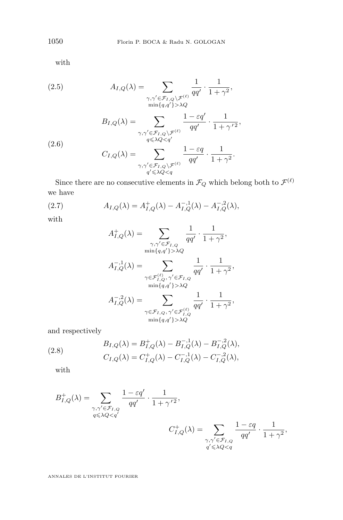with

(2.5)  
\n
$$
A_{I,Q}(\lambda) = \sum_{\substack{\gamma,\gamma' \in \mathcal{F}_{I,Q}\backslash \mathcal{F}^{(\ell)} \\ \min\{q,q'\} > \lambda Q}} \frac{1}{qq'} \cdot \frac{1}{1+\gamma^2},
$$
\n
$$
B_{I,Q}(\lambda) = \sum_{\substack{\gamma,\gamma' \in \mathcal{F}_{I,Q}\backslash \mathcal{F}^{(\ell)} \\ q \leq \lambda Q < q'}} \frac{1-\varepsilon q'}{qq'} \cdot \frac{1}{1+\gamma'^2},
$$
\n(2.6)  
\n
$$
C_{I,Q}(\lambda) = \sum_{\substack{\gamma,\gamma' \in \mathcal{F}_{I,Q}\backslash \mathcal{F}^{(\ell)} \\ q' \leq \lambda Q < q'}} \frac{1-\varepsilon q}{qq'} \cdot \frac{1}{1+\gamma^2}.
$$

Since there are no consecutive elements in  $\mathcal{F}_Q$  which belong both to  $\mathcal{F}^{(\ell)}$ we have

(2.7) 
$$
A_{I,Q}(\lambda) = A_{I,Q}^+(\lambda) - A_{I,Q}^{-,1}(\lambda) - A_{I,Q}^{-,2}(\lambda),
$$

with

$$
A_{I,Q}^{+}(\lambda) = \sum_{\substack{\gamma,\gamma' \in \mathcal{F}_{I,Q} \\ \min\{q,q'\} > \lambda Q}} \frac{1}{qq'} \cdot \frac{1}{1+\gamma^2},
$$
  

$$
A_{I,Q}^{-,1}(\lambda) = \sum_{\substack{\gamma \in \mathcal{F}_{I,Q}^{(\ell)}, \gamma' \in \mathcal{F}_{I,Q} \\ \min\{q,q'\} > \lambda Q}} \frac{1}{qq'} \cdot \frac{1}{1+\gamma^2},
$$
  

$$
A_{I,Q}^{-,2}(\lambda) = \sum_{\substack{\gamma \in \mathcal{F}_{I,Q}, \gamma' \in \mathcal{F}_{I,Q}^{(\ell)} \\ \min\{q,q'\} > \lambda Q}} \frac{1}{qq'} \cdot \frac{1}{1+\gamma^2},
$$
  

$$
\min\{q,q'\} > \lambda Q
$$

and respectively

(2.8) 
$$
B_{I,Q}(\lambda) = B_{I,Q}^+(\lambda) - B_{I,Q}^{-,1}(\lambda) - B_{I,Q}^{-,2}(\lambda),
$$

$$
C_{I,Q}(\lambda) = C_{I,Q}^+(\lambda) - C_{I,Q}^{-,1}(\lambda) - C_{I,Q}^{-,2}(\lambda),
$$

with

$$
\begin{split} B_{I,Q}^+(\lambda) = \sum_{\substack{\gamma,\gamma' \in \mathcal{F}_{I,Q} \\ q \leqslant \lambda Q < q'}} \frac{1 - \varepsilon q'}{qq'} \cdot \frac{1}{1 + \gamma^{\,\prime\,2}}, \\ C_{I,Q}^+(\lambda) = \sum_{\substack{\gamma,\gamma' \in \mathcal{F}_{I,Q} \\ q' \leqslant \lambda Q < q}} \frac{1 - \varepsilon q}{qq'} \cdot \frac{1}{1 + \gamma^2}, \end{split}
$$

<span id="page-8-0"></span>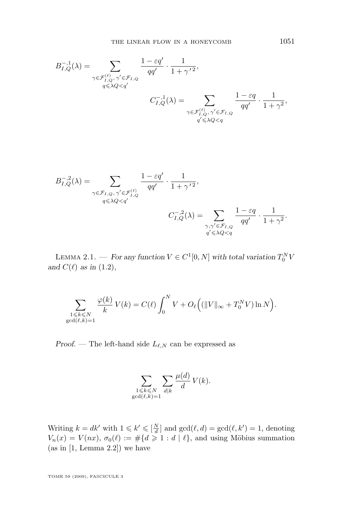<span id="page-9-0"></span>
$$
B_{I,Q}^{-,1}(\lambda) = \sum_{\substack{\gamma \in \mathcal{F}_{I,Q}^{(\ell)}, \gamma' \in \mathcal{F}_{I,Q} \\ q \leq \lambda Q < q'}} \frac{1 - \varepsilon q'}{qq'} \cdot \frac{1}{1 + \gamma'^2},
$$
\n
$$
C_{I,Q}^{-,1}(\lambda) = \sum_{\substack{\gamma \in \mathcal{F}_{I,Q}^{(\ell)}, \gamma' \in \mathcal{F}_{I,Q} \\ q' \leq \lambda Q < q}} \frac{1 - \varepsilon q}{qq'} \cdot \frac{1}{1 + \gamma^2},
$$

$$
B_{I,Q}^{-,2}(\lambda) = \sum_{\substack{\gamma \in \mathcal{F}_{I,Q}, \gamma' \in \mathcal{F}_{I,Q}^{(\ell)} \\ q \leqslant \lambda Q < q'}} \frac{1 - \varepsilon q'}{qq'} \cdot \frac{1}{1 + \gamma'^2},
$$
\n
$$
C_{I,Q}^{-,2}(\lambda) = \sum_{\substack{\gamma, \gamma' \in \mathcal{F}_{I,Q} \\ q' \leqslant \lambda Q < q}} \frac{1 - \varepsilon q}{qq'} \cdot \frac{1}{1 + \gamma^2}.
$$

LEMMA 2.1. — For any function  $V \in C^1[0, N]$  with total variation  $T_0^N V$ and  $C(\ell)$  *as in* [\(1.2\)](#page-3-0)*,* 

$$
\sum_{\substack{1 \leqslant k \leqslant N \\ \gcd(\ell,k)=1}} \frac{\varphi(k)}{k} \, V(k) = C(\ell) \int_0^N V + O_{\ell}\Big( (\|V\|_{\infty} + T_0^N V)\ln N \Big).
$$

*Proof.* — The left-hand side  $L_{\ell,N}$  can be expressed as

$$
\sum_{\substack{1 \leq k \leq N \\ \gcd(\ell,k)=1}} \sum_{d|k} \frac{\mu(d)}{d} V(k).
$$

Writing  $k = dk'$  with  $1 \leq k' \leq \lfloor \frac{N}{d} \rfloor$  and  $gcd(\ell, d) = gcd(\ell, k') = 1$ , denoting  $V_n(x) = V(nx), \sigma_0(\ell) := \# \{ d \geq 1 : d | \ell \},$  and using Möbius summation  $(as in [1, Lemma 2.2])$  $(as in [1, Lemma 2.2])$  $(as in [1, Lemma 2.2])$  we have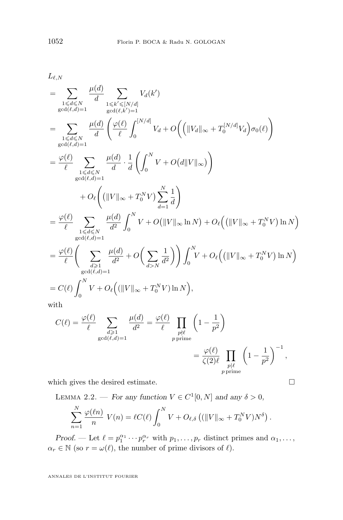<span id="page-10-0"></span> $L_{\ell,N}$ 

$$
= \sum_{\substack{1 \le d \le N \\ \gcd(\ell, d) = 1}} \frac{\mu(d)}{d} \sum_{\substack{1 \le k' \le [N/d] \\ \gcd(\ell, d) = 1}} V_d(k')
$$
\n
$$
= \sum_{\substack{1 \le d \le N \\ \gcd(\ell, d) = 1}} \frac{\mu(d)}{d} \left( \frac{\varphi(\ell)}{\ell} \int_0^{\lceil N/d \rceil} V_d + O\left(\left(\lVert V_d \rVert_{\infty} + T_0^{\lceil N/d \rceil} V_d\right) \sigma_0(\ell)\right) \right)
$$
\n
$$
= \frac{\varphi(\ell)}{\ell} \sum_{\substack{1 \le d \le N \\ \gcd(\ell, d) = 1}} \frac{\mu(d)}{d} \cdot \frac{1}{d} \left( \int_0^N V + O\left(\frac{d}l \lVert V \rVert_{\infty} \right) \right)
$$
\n
$$
+ O_{\ell} \left(\left(\lVert V \rVert_{\infty} + T_0^N V\right) \sum_{d=1}^N \frac{1}{d}\right)
$$
\n
$$
= \frac{\varphi(\ell)}{\ell} \sum_{\substack{1 \le d \le N \\ \gcd(\ell, d) = 1}} \frac{\mu(d)}{d^2} \int_0^N V + O\left(\lVert V \rVert_{\infty} \ln N\right) + O_{\ell} \left(\left(\lVert V \rVert_{\infty} + T_0^N V\right) \ln N\right)
$$
\n
$$
= \frac{\varphi(\ell)}{\ell} \left( \sum_{\substack{d \ge 1 \\ \gcd(\ell, d) = 1}} \frac{\mu(d)}{d^2} + O\left(\sum_{d > N} \frac{1}{d^2}\right) \right) \int_0^N V + O_{\ell} \left(\left(\lVert V \rVert_{\infty} + T_0^N V\right) \ln N\right)
$$
\nwith\n
$$
= C(\ell) \int_0^N V + O_{\ell} \left(\left(\lVert V \rVert_{\infty} + T_0^N V\right) \ln N\right),
$$
\nwith

$$
C(\ell) = \frac{\varphi(\ell)}{\ell} \sum_{\substack{d \geq 1 \\ \gcd(\ell, d) = 1}} \frac{\mu(d)}{d^2} = \frac{\varphi(\ell)}{\ell} \prod_{\substack{p \nmid \ell \\ p \text{ prime}}} \left(1 - \frac{1}{p^2}\right)
$$

$$
= \frac{\varphi(\ell)}{\zeta(2)\ell} \prod_{\substack{p \mid \ell \\ p \text{ prime}}} \left(1 - \frac{1}{p^2}\right)^{-1},
$$

which gives the desired estimate.  $\hfill \Box$ 

LEMMA 2.2. — *For any function*  $V \in C^1[0, N]$  *and any*  $\delta > 0$ *,* 

$$
\sum_{n=1}^N \frac{\varphi(\ell n)}{n} V(n) = \ell C(\ell) \int_0^N V + O_{\ell,\delta} \left( (\|V\|_{\infty} + T_0^N V) N^{\delta} \right).
$$

*Proof.* — Let  $\ell = p_1^{\alpha_1} \cdots p_r^{\alpha_r}$  with  $p_1, \ldots, p_r$  distinct primes and  $\alpha_1, \ldots, \alpha_r$  $\alpha_r \in \mathbb{N}$  (so  $r = \omega(\ell),$  the number of prime divisors of  $\ell).$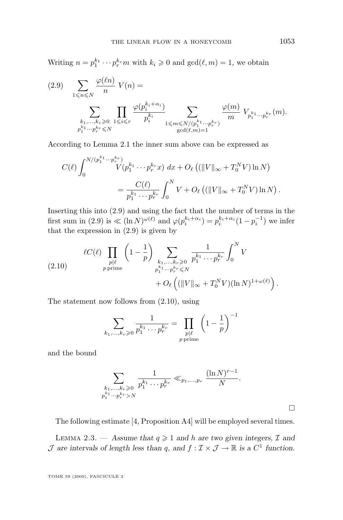<span id="page-11-0"></span>Writing  $n = p_1^{k_1} \cdots p_r^{k_r} m$  with  $k_i \geqslant 0$  and  $\gcd(\ell, m) = 1$ , we obtain

$$
(2.9) \quad \sum_{1 \leqslant n \leqslant N} \frac{\varphi(\ell n)}{n} V(n) = \sum_{\substack{k_1, \ldots, k_r \geqslant 0 \\ p_1^{k_1} \cdots p_r^{k_r} \leqslant N}} \prod_{1 \leqslant i \leqslant r} \frac{\varphi(p_i^{k_i + \alpha_i})}{p_i^{k_i}} \sum_{\substack{1 \leqslant m \leqslant N/(p_1^{k_1} \cdots p_r^{k_r}) \\ \gcd(\ell, m) = 1}} \frac{\varphi(m)}{m} V_{p_1^{k_1} \cdots p_r^{k_r}}(m).
$$

According to Lemma [2.1](#page-9-0) the inner sum above can be expressed as

$$
C(\ell) \int_0^{N/(p_1^{k_1}\cdots p_r^{k_r})} V(p_1^{k_1}\cdots p_r^{k_r}x) \, dx + O_{\ell}\left((\|V\|_{\infty} + T_0^N V) \ln N\right)
$$
  
= 
$$
\frac{C(\ell)}{p_1^{k_1}\cdots p_r^{k_r}} \int_0^N V + O_{\ell}\left((\|V\|_{\infty} + T_0^N V) \ln N\right).
$$

Inserting this into (2.9) and using the fact that the number of terms in the first sum in (2.9) is  $\ll (\ln N)^{\omega(\ell)}$  and  $\varphi(p_i^{k_i+\alpha_i}) = p_i^{k_i+\alpha_i}(1-p_i^{-1})$  we infer that the expression in (2.9) is given by

(2.10) 
$$
\ell C(\ell) \prod_{\substack{p|\ell \\ p \text{ prime}}} \left(1 - \frac{1}{p}\right) \sum_{\substack{k_1, \dots, k_r \geq 0 \\ p_1^{k_1} \cdots p_r^{k_r} \leq N}} \frac{1}{p_1^{k_1} \cdots p_r^{k_r}} \int_0^N V
$$

$$
+ O_{\ell} \left( (\|V\|_{\infty} + T_0^N V)(\ln N)^{1 + \omega(\ell)} \right).
$$

The statement now follows from (2.10), using

$$
\sum_{k_1,\dots,k_r\geqslant 0} \frac{1}{p_1^{k_1}\cdots p_r^{k_r}} = \prod_{\substack{p|\ell \\ p \text{ prime}}} \left(1 - \frac{1}{p}\right)^{-1}
$$

and the bound

$$
\sum_{\substack{k_1,\dots,k_r\geqslant 0\\p_1^{k_1}\cdots p_r^{k_r}>N}}\frac{1}{p_1^{k_1}\cdots p_r^{k_r}}\ll_{p_1,\dots,p_r}\frac{(\ln N)^{r-1}}{N}.
$$

 $\Box$ 

The following estimate [\[4,](#page-32-0) Proposition A4] will be employed several times.

LEMMA 2.3. — Assume that  $q \geq 1$  and h are two given integers,  $\mathcal{I}$  and  $\mathcal J$  are intervals of length less than q, and  $f : \mathcal I \times \mathcal J \to \mathbb R$  is a  $C^1$  function.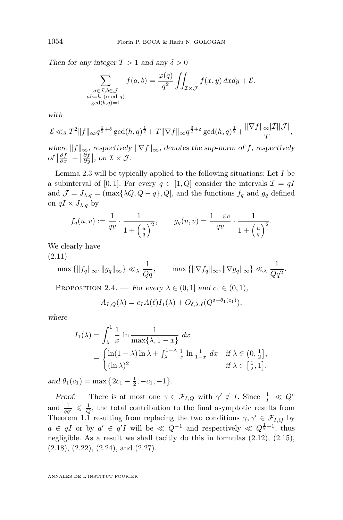*Then for any integer*  $T > 1$  *and any*  $\delta > 0$ 

$$
\sum_{\substack{a \in \mathcal{I}, b \in \mathcal{J} \\ ab = h \pmod{q} \\ \gcd(b,q) = 1}} f(a,b) = \frac{\varphi(q)}{q^2} \iint_{\mathcal{I} \times \mathcal{J}} f(x,y) \, dx dy + \mathcal{E},
$$

*with*

$$
\mathcal{E}\ll_{\delta} T^{2}||f||_{\infty}q^{\frac{1}{2}+\delta}\gcd(h,q)^{\frac{1}{2}}+T||\nabla f||_{\infty}q^{\frac{3}{2}+\delta}\gcd(h,q)^{\frac{1}{2}}+\frac{||\nabla f||_{\infty}|\mathcal{I}||\mathcal{J}|}{T},
$$

*where*  $||f||_{\infty}$ *, respectively*  $||\nabla f||_{\infty}$ *, denotes the sup-norm of f, respectively*  $of \left| \frac{\partial f}{\partial x} \right| + \left| \frac{\partial f}{\partial y} \right|$ , on  $\mathcal{I} \times \mathcal{J}$ .

Lemma [2.3](#page-11-0) will be typically applied to the following situations: Let  $I$  be a subinterval of [0, 1]. For every  $q \in [1, Q]$  consider the intervals  $\mathcal{I} = qI$ and  $\mathcal{J} = J_{\lambda,q} = (\max\{\lambda Q, Q - q\}, Q]$ , and the functions  $f_q$  and  $g_q$  defined on  $qI \times J_{\lambda,q}$  by

$$
f_q(u,v) := \frac{1}{qv} \cdot \frac{1}{1 + \left(\frac{u}{q}\right)^2}, \qquad g_q(u,v) = \frac{1 - \varepsilon v}{qv} \cdot \frac{1}{1 + \left(\frac{u}{q}\right)^2}.
$$

We clearly have

(2.11)

$$
\max\left\{\|f_q\|_{\infty},\|g_q\|_{\infty}\right\} \ll \lambda \frac{1}{Qq}, \qquad \max\left\{\|\nabla f_q\|_{\infty},\|\nabla g_q\|_{\infty}\right\} \ll \lambda \frac{1}{Qq^2}.
$$

PROPOSITION 2.4. — *For every*  $\lambda \in (0,1]$  *and*  $c_1 \in (0,1)$ *,* 

$$
A_{I,Q}(\lambda) = c_I A(\ell) I_1(\lambda) + O_{\delta,\lambda,\ell}(Q^{\delta+\theta_1(c_1)}),
$$

*where*

$$
I_1(\lambda) = \int_{\lambda}^1 \frac{1}{x} \ln \frac{1}{\max\{\lambda, 1 - x\}} dx
$$
  
= 
$$
\begin{cases} \ln(1 - \lambda) \ln \lambda + \int_{\lambda}^{1 - \lambda} \frac{1}{x} \ln \frac{1}{1 - x} dx & \text{if } \lambda \in \left(0, \frac{1}{2}\right], \\ (\ln \lambda)^2 & \text{if } \lambda \in \left[\frac{1}{2}, 1\right], \end{cases}
$$

 $and \theta_1(c_1) = \max\left\{2c_1 - \frac{1}{2}, -c_1, -1\right\}.$ 

*Proof.* — There is at most one  $\gamma \in \mathcal{F}_{I,Q}$  with  $\gamma' \notin I$ . Since  $\frac{1}{|I|} \ll Q^c$ and  $\frac{1}{qq'} \leq \frac{1}{Q}$ , the total contribution to the final asymptotic results from Theorem [1.1](#page-3-0) resulting from replacing the two conditions  $\gamma, \gamma' \in \mathcal{F}_{I,Q}$  by  $a \in qI$  or by  $a' \in q'I$  will be  $\ll Q^{-1}$  and respectively  $\ll Q^{\frac{1}{8}-1}$ , thus negligible. As a result we shall tacitly do this in formulas [\(2.12\)](#page-13-0), [\(2.15\)](#page-13-0),  $(2.18), (2.22), (2.24), \text{ and } (2.27).$  $(2.18), (2.22), (2.24), \text{ and } (2.27).$  $(2.18), (2.22), (2.24), \text{ and } (2.27).$  $(2.18), (2.22), (2.24), \text{ and } (2.27).$  $(2.18), (2.22), (2.24), \text{ and } (2.27).$  $(2.18), (2.22), (2.24), \text{ and } (2.27).$  $(2.18), (2.22), (2.24), \text{ and } (2.27).$  $(2.18), (2.22), (2.24), \text{ and } (2.27).$ 

<span id="page-12-0"></span>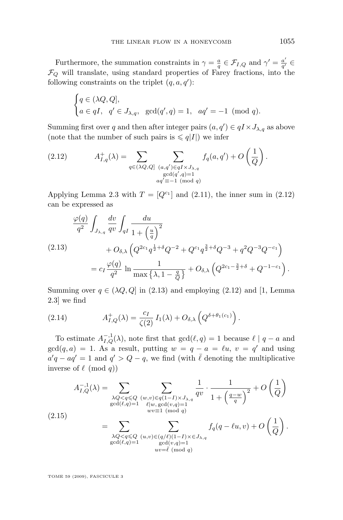<span id="page-13-0"></span>Furthermore, the summation constraints in  $\gamma = \frac{a}{q} \in \mathcal{F}_{I,Q}$  and  $\gamma' = \frac{a'}{q'}$  $\frac{a^{\prime }}{q^{\prime }}\in$  $\mathcal{F}_Q$  will translate, using standard properties of Farey fractions, into the following constraints on the triplet  $(q, a, q')$ :

$$
\begin{cases} q \in (\lambda Q, Q], \\ a \in qI, \quad q' \in J_{\lambda, q}, \quad \gcd(q', q) = 1, \quad aq' = -1 \pmod{q}. \end{cases}
$$

Summing first over q and then after integer pairs  $(a, q') \in qI \times J_{\lambda,q}$  as above (note that the number of such pairs is  $\leq q|I|$ ) we infer

(2.12) 
$$
A_{I,q}^{+}(\lambda) = \sum_{q \in (\lambda Q, Q]} \sum_{\substack{(a,q') \in qI \times J_{\lambda,q} \\ \gcd(q',q)=1 \\ aq' \equiv -1 \pmod{q}}} f_q(a,q') + O\left(\frac{1}{Q}\right).
$$

Applying Lemma [2.3](#page-11-0) with  $T = [Q^{c_1}]$  and [\(2.11\)](#page-12-0), the inner sum in (2.12) can be expressed as

$$
\frac{\varphi(q)}{q^2} \int_{J_{\lambda,q}} \frac{dv}{qv} \int_{qI} \frac{du}{1 + \left(\frac{u}{q}\right)^2} \n+ O_{\delta,\lambda} \left(Q^{2c_1} q^{\frac{1}{2} + \delta} Q^{-2} + Q^{c_1} q^{\frac{3}{2} + \delta} Q^{-3} + q^2 Q^{-3} Q^{-c_1}\right) \n= c_I \frac{\varphi(q)}{q^2} \ln \frac{1}{\max \left\{\lambda, 1 - \frac{q}{Q}\right\}} + O_{\delta,\lambda} \left(Q^{2c_1 - \frac{3}{2} + \delta} + Q^{-1 - c_1}\right).
$$

Summing over  $q \in (\lambda Q, Q]$  in (2.13) and employing (2.12) and [\[1,](#page-32-0) Lemma 2.3] we find

(2.14) 
$$
A_{I,Q}^+(\lambda) = \frac{c_I}{\zeta(2)} I_1(\lambda) + O_{\delta,\lambda} \left(Q^{\delta + \theta_1(c_1)}\right).
$$

To estimate  $A_{I,Q}^{-,1}(\lambda)$ , note first that  $gcd(\ell, q) = 1$  because  $\ell | q - a$  and  $gcd(q, a) = 1$ . As a result, putting  $w = q - a = \ell u$ ,  $v = q'$  and using  $a'q - aq' = 1$  and  $q' > Q - q$ , we find (with  $\overline{\ell}$  denoting the multiplicative inverse of  $\ell \pmod{q}$ 

$$
A_{I,Q}^{-,1}(\lambda) = \sum_{\substack{\lambda Q < q \leq Q \\ \gcd(\ell,q)=1}} \sum_{\substack{(w,v) \in q(1-I) \times J_{\lambda,q} \\ \ell|w, \gcd(v,q)=1}} \frac{1}{qv} \cdot \frac{1}{1 + \left(\frac{q-w}{q}\right)^2} + O\left(\frac{1}{Q}\right)
$$
\n
$$
(2.15)
$$
\n
$$
= \sum_{\substack{\lambda Q < q \leq Q \\ \gcd(\ell,q)=1}} \sum_{\substack{(u,v) \in (q/\ell)(1-I) \times \in J_{\lambda,q} \\ \gcd(\ell,q)=1}} f_q(q - \ell u, v) + O\left(\frac{1}{Q}\right).
$$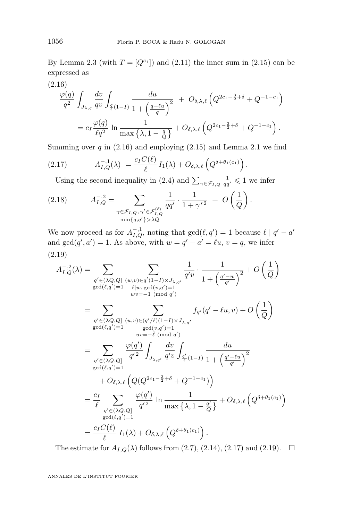<span id="page-14-0"></span>By Lemma [2.3](#page-11-0) (with  $T = [Q^{c_1}]$ ) and [\(2.11\)](#page-12-0) the inner sum in [\(2.15\)](#page-13-0) can be expressed as

(2.16)

$$
\frac{\varphi(q)}{q^2} \int_{J_{\lambda,q}} \frac{dv}{qv} \int_{\frac{q}{\ell}(1-I)} \frac{du}{1 + \left(\frac{q - \ell u}{q}\right)^2} + O_{\delta,\lambda,\ell} \left(Q^{2c_1 - \frac{3}{2} + \delta} + Q^{-1 - c_1}\right)
$$
  
= 
$$
c_I \frac{\varphi(q)}{\ell q^2} \ln \frac{1}{\max\left\{\lambda, 1 - \frac{q}{Q}\right\}} + O_{\delta,\lambda,\ell} \left(Q^{2c_1 - \frac{3}{2} + \delta} + Q^{-1 - c_1}\right).
$$

Summing over q in  $(2.16)$  $(2.16)$  $(2.16)$  and employing  $(2.15)$  and Lemma 2.1 we find

.

(2.17) 
$$
A_{I,Q}^{-1}(\lambda) = \frac{c_I C(\ell)}{\ell} I_1(\lambda) + O_{\delta,\lambda,\ell} \left(Q^{\delta + \theta_1(c_1)}\right)
$$

Using the second inequality in [\(2.4\)](#page-7-0) and  $\sum_{\gamma \in \mathcal{F}_{I,Q}} \frac{1}{qq'} \leq 1$  we infer

(2.18) 
$$
A_{I,Q}^{-,2} = \sum_{\substack{\gamma \in \mathcal{F}_{I,Q}, \gamma' \in \mathcal{F}_{I,Q}^{(\ell)} \\ \min\{q,q'\}> \lambda Q}} \frac{1}{qq'} \cdot \frac{1}{1+\gamma'^2} + O\left(\frac{1}{Q}\right).
$$

We now proceed as for  $A_{I,Q}^{-1}$ , noting that  $gcd(\ell, q') = 1$  because  $\ell | q' - a'$ and  $gcd(q', a') = 1$ . As above, with  $w = q' - a' = \ell u$ ,  $v = q$ , we infer (2.19)

$$
A_{I,Q}^{-,2}(\lambda) = \sum_{\substack{q' \in (\lambda Q,Q] \\ \gcd(\ell,q')=1}} \sum_{\substack{(w,v) \in q'(1-I) \times J_{\lambda,q'}} \\ wv=-1 \pmod{q'}} \frac{1}{q'v} \cdot \frac{1}{1 + \left(\frac{q'-w}{q'}\right)^2} + O\left(\frac{1}{Q}\right)
$$
  
\n
$$
= \sum_{\substack{q' \in (\lambda Q,Q] \\ \gcd(\ell,q')=1}} \sum_{\substack{(w,v) \in (q'/\ell)(1-I) \times J_{\lambda,q'}} \\ wv=-1 \pmod{q'}} f_{q'}(q'-\ell u, v) + O\left(\frac{1}{Q}\right)
$$
  
\n
$$
= \sum_{\substack{q' \in (\lambda Q,Q] \\ q' \in (\lambda Q,Q]}} \frac{\varphi(q')}{q'^2} \int_{J_{\lambda,q'}} \frac{dv}{q'v} \int_{\frac{q'}{q'}(1-I)} \frac{du}{1 + \left(\frac{q'-\ell u}{q'}\right)^2}
$$
  
\n
$$
+ O_{\delta,\lambda,\ell} \left(Q(Q^{2c_1-\frac{3}{2}+\delta}+Q^{-1-c_1})\right)
$$
  
\n
$$
= \frac{c_I}{\ell} \sum_{\substack{q' \in (\lambda Q,Q] \\ q' \in (\lambda Q')=1}} \frac{\varphi(q')}{q'^2} \ln \frac{1}{\max \{\lambda, 1 - \frac{q'}{Q}\}} + O_{\delta,\lambda,\ell} \left(Q^{\delta+\theta_1(c_1)}\right)
$$
  
\n
$$
= \frac{c_I C(\ell)}{\ell} I_1(\lambda) + O_{\delta,\lambda,\ell} \left(Q^{\delta+\theta_1(c_1)}\right).
$$

The estimate for  $A_{I,Q}(\lambda)$  follows from [\(2.7\)](#page-8-0), [\(2.14\)](#page-13-0), (2.17) and (2.19).  $\Box$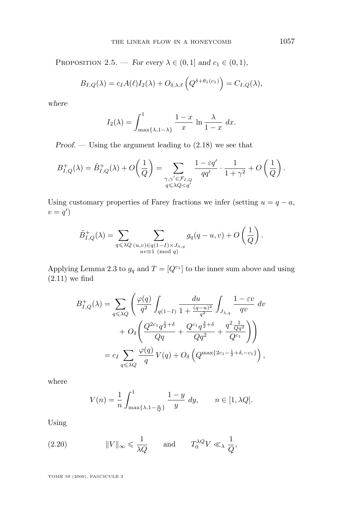<span id="page-15-0"></span>PROPOSITION 2.5. — *For every*  $\lambda \in (0, 1]$  *and*  $c_1 \in (0, 1)$ *,* 

$$
B_{I,Q}(\lambda) = c_I A(\ell) I_2(\lambda) + O_{\delta,\lambda,\ell} \left( Q^{\delta + \theta_1(c_1)} \right) = C_{I,Q}(\lambda),
$$

*where*

$$
I_2(\lambda) = \int_{\max\{\lambda, 1-\lambda\}}^1 \frac{1-x}{x} \ln \frac{\lambda}{1-x} \, dx.
$$

*Proof. —* Using the argument leading to [\(2.18\)](#page-14-0) we see that

$$
B_{I,Q}^+(\lambda) = \tilde{B}_{I,Q}^+(\lambda) + O\left(\frac{1}{Q}\right) = \sum_{\substack{\gamma,\gamma' \in \mathcal{F}_{I,Q} \\ q \leq \lambda Q < q'}} \frac{1 - \varepsilon q'}{qq'} \cdot \frac{1}{1 + \gamma^2} + O\left(\frac{1}{Q}\right).
$$

Using customary properties of Farey fractions we infer (setting  $u = q - a$ ,  $v = q'$ 

$$
\tilde{B}_{I,Q}^+(\lambda) = \sum_{q \leq \lambda Q} \sum_{\substack{(u,v) \in q(1-I) \times J_{\lambda,q} \\ uv \equiv 1 \pmod{q}}} g_q(q-u,v) + O\left(\frac{1}{Q}\right).
$$

Applying Lemma [2.3](#page-11-0) to  $g_q$  and  $T = [Q^{c_1}]$  to the inner sum above and using  $(2.11)$  we find

$$
B_{I,Q}^{+}(\lambda) = \sum_{q \leq \lambda Q} \left( \frac{\varphi(q)}{q^2} \int_{q(1-I)} \frac{du}{1 + \frac{(q-u)^2}{q^2}} \int_{J_{\lambda,q}} \frac{1 - \varepsilon v}{qv} dv + O_{\delta} \left( \frac{Q^{2c_1} q^{\frac{1}{2} + \delta}}{Qq} + \frac{Q^{c_1} q^{\frac{3}{2} + \delta}}{Qq^2} + \frac{q^2 \frac{1}{Qq^2}}{Q^{c_1}} \right) \right)
$$
  
=  $c_I \sum_{q \leq \lambda Q} \frac{\varphi(q)}{q} V(q) + O_{\delta} \left( Q^{\max\{2c_1 - \frac{1}{2} + \delta, -c_1\}} \right),$ 

where

$$
V(n) = \frac{1}{n} \int_{\max\{\lambda, 1 - \frac{n}{Q}\}}^1 \frac{1 - y}{y} dy, \qquad n \in [1, \lambda Q].
$$

Using

(2.20) 
$$
||V||_{\infty} \le \frac{1}{\lambda Q}
$$
 and  $T_0^{\lambda Q} V \ll_{\lambda} \frac{1}{Q}$ ,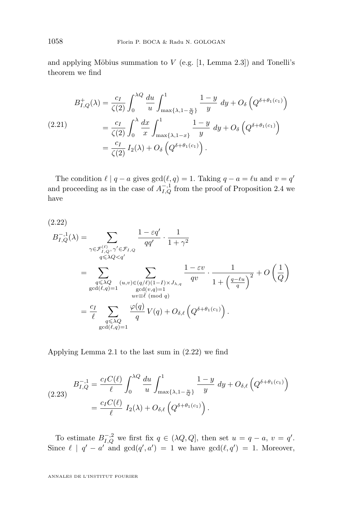<span id="page-16-0"></span>and applying Möbius summation to  $V$  (e.g. [\[1,](#page-32-0) Lemma 2.3]) and Tonelli's theorem we find

$$
B_{I,Q}^{+}(\lambda) = \frac{c_I}{\zeta(2)} \int_0^{\lambda Q} \frac{du}{u} \int_{\max\{\lambda, 1-\frac{u}{Q}\}}^1 \frac{1-y}{y} dy + O_{\delta}\left(Q^{\delta+\theta_1(c_1)}\right)
$$
  
\n(2.21)  
\n
$$
= \frac{c_I}{\zeta(2)} \int_0^{\lambda} \frac{dx}{x} \int_{\max\{\lambda, 1-x\}}^1 \frac{1-y}{y} dy + O_{\delta}\left(Q^{\delta+\theta_1(c_1)}\right)
$$
  
\n
$$
= \frac{c_I}{\zeta(2)} I_2(\lambda) + O_{\delta}\left(Q^{\delta+\theta_1(c_1)}\right).
$$

The condition  $\ell | q - a$  gives  $gcd(\ell, q) = 1$ . Taking  $q - a = \ell u$  and  $v = q'$ and proceeding as in the case of  $A_{I,Q}^{-1}$  from the proof of Proposition [2.4](#page-12-0) we have

(2.22)

$$
B_{I,Q}^{-,1}(\lambda) = \sum_{\substack{\gamma \in \mathcal{F}_{I,Q}^{(\ell)}, \gamma' \in \mathcal{F}_{I,Q} \\ q \leq \lambda Q < q' \\ \gcd(\ell,q) = 1}} \frac{1 - \varepsilon q'}{qq'} \cdot \frac{1}{1 + \gamma^2}
$$
\n
$$
= \sum_{\substack{q \leq \lambda Q \\ \gcd(\ell,q) = 1}} \sum_{\substack{(u,v) \in (q/\ell)(1-I) \times J_{\lambda,q} \\ \gcd(v,q) = 1 \\ uv \equiv \ell \pmod{q}}} \frac{1 - \varepsilon v}{qv} \cdot \frac{1}{1 + \left(\frac{q - \ell u}{q}\right)^2} + O\left(\frac{1}{Q}\right)
$$
\n
$$
= \frac{c_I}{\ell} \sum_{\substack{q \leq \lambda Q \\ \gcd(\ell,q) = 1}} \frac{\varphi(q)}{q} V(q) + O_{\delta,\ell}\left(Q^{\delta + \theta_1(c_1)}\right).
$$

Applying Lemma [2.1](#page-9-0) to the last sum in (2.22) we find

(2.23) 
$$
B_{I,Q}^{-,1} = \frac{c_I C(\ell)}{\ell} \int_0^{\lambda Q} \frac{du}{u} \int_{\max\{\lambda, 1-\frac{u}{Q}\}}^1 \frac{1-y}{y} dy + O_{\delta,\ell} \left(Q^{\delta + \theta_1(c_1)}\right)
$$

$$
= \frac{c_I C(\ell)}{\ell} I_2(\lambda) + O_{\delta,\ell} \left(Q^{\delta + \theta_1(c_1)}\right).
$$

To estimate  $B_{I,Q}^{-,2}$  we first fix  $q \in (\lambda Q, Q]$ , then set  $u = q - a$ ,  $v = q'$ . Since  $\ell \mid q' - a'$  and  $gcd(q', a') = 1$  we have  $gcd(\ell, q') = 1$ . Moreover,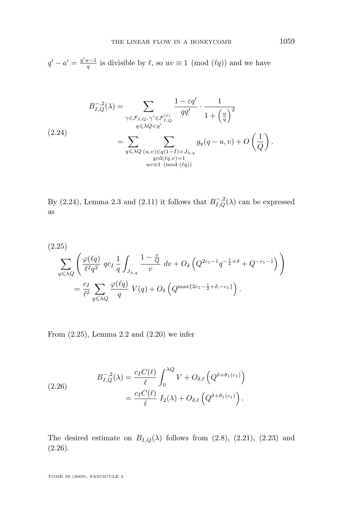<span id="page-17-0"></span> $q' - a' = \frac{q'u - 1}{q}$  is divisible by  $\ell$ , so  $uv \equiv 1 \pmod{(\ell q)}$  and we have

$$
B_{I,Q}^{-,2}(\lambda) = \sum_{\substack{\gamma \in \mathcal{F}_{I,Q}, \gamma' \in \mathcal{F}_{I,Q}^{(\ell)} \\ q \leq \lambda Q < q' \\ q \leq \lambda Q \leq q' \\ \gcd(\ell q, v) = 1}} \frac{1 - \varepsilon q'}{qq'} \cdot \frac{1}{1 + \left(\frac{a}{q}\right)^2} \tag{2.24}
$$
\n
$$
= \sum_{q \leq \lambda Q} \sum_{\substack{(u,v) \in q(1-I) \times J_{\lambda,q} \\ \gcd(\ell q, v) = 1 \\ uv \equiv 1 \pmod{(\ell q)}}} g_q(q - u, v) + O\left(\frac{1}{Q}\right).
$$

By (2.24), Lemma [2.3](#page-11-0) and [\(2.11\)](#page-12-0) it follows that  $B_{I,Q}^{-,2}(\lambda)$  can be expressed as

(2.25)  
\n
$$
\sum_{q \leq \lambda Q} \left( \frac{\varphi(\ell q)}{\ell^2 q^2} q c_I \frac{1}{q} \int_{J_{\lambda,q}} \frac{1 - \frac{v}{Q}}{v} dv + O_{\delta} \left( Q^{2c_1 - 1} q^{-\frac{1}{2} + \delta} + Q^{-c_1 - 1} \right) \right)
$$
\n
$$
= \frac{c_I}{\ell^2} \sum_{q \leq \lambda Q} \frac{\varphi(\ell q)}{q} V(q) + O_{\delta} \left( Q^{\max\{2c_1 - \frac{1}{2} + \delta, -c_1\}} \right).
$$

From (2.25), Lemma [2.2](#page-10-0) and [\(2.20\)](#page-15-0) we infer

(2.26) 
$$
B_{I,Q}^{-,2}(\lambda) = \frac{c_I C(\ell)}{\ell} \int_0^{\lambda Q} V + O_{\delta,\ell} \left( Q^{\delta + \theta_1(c_1)} \right) = \frac{c_I C(\ell)}{\ell} I_2(\lambda) + O_{\delta,\ell} \left( Q^{\delta + \theta_1(c_1)} \right).
$$

The desired estimate on  $B_{I,Q}(\lambda)$  follows from [\(2.8\)](#page-8-0), [\(2.21\)](#page-16-0), [\(2.23\)](#page-16-0) and (2.26).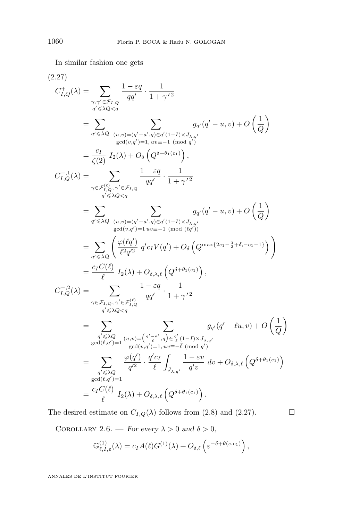<span id="page-18-0"></span>In similar fashion one gets

$$
(2.27)
$$
\n
$$
C_{I,Q}^{+}(\lambda) = \sum_{\substack{\gamma,\gamma' \in \mathcal{F}_{I,Q} \\ q' \leq \lambda Q < q}} \frac{1 - \varepsilon q}{qq'} \cdot \frac{1}{1 + \gamma'^2}
$$
\n
$$
= \sum_{\substack{q' \leq \lambda Q \\ q \text{ odd } (v,q') = 1, uv = -1 \pmod{q'}}} \sum_{\substack{q,q'(q'-u,v) + Q \\ q \text{ odd } (v,q') = 1, uv = -1 \pmod{q'}}} g_{q'}(q'-u,v) + O\left(\frac{1}{Q}\right)
$$
\n
$$
= \frac{c_I}{\zeta(2)} I_2(\lambda) + O_{\delta}\left(Q^{\delta + \theta_1(c_1)}\right),
$$
\n
$$
C_{I,Q}^{-1}(\lambda) = \sum_{\substack{\gamma \in \mathcal{F}_{I,Q}^{(\ell)}, \gamma' \in \mathcal{F}_{I,Q} \\ q' \leq \lambda Q < q}} \frac{1 - \varepsilon q}{qq'} \cdot \frac{1}{1 + \gamma'^2}
$$
\n
$$
= \sum_{\substack{q' \leq \lambda Q \\ q \text{ odd } (v,q') = 1}} \sum_{\substack{u,v = (-a',q) \in q'(1-I) \times J_{\lambda,q'}} g_{q'}(q'-u,v) + O\left(\frac{1}{Q}\right)
$$
\n
$$
= \sum_{\substack{q' \leq \lambda Q \\ q \text{ odd } (v,q') = 1}} \sum_{\substack{u,v = -1 \pmod{(kq')}} g_{q'}(q'-u,v) + O\left(\frac{1}{Q}\right)}
$$
\n
$$
= \sum_{\substack{q' \leq \lambda Q \\ q' \leq \lambda Q}} \left(\frac{\varphi(\ell q')}{\ell^2 q'^2} q' c_I V(q') + O_{\delta}\left(Q^{\max\{2c_1 - \frac{3}{2} + \delta, -c_1 - 1\}}\right)\right)
$$
\n
$$
= \frac{c_I C(\ell)}{\ell} I_2(\lambda) + O_{\delta,\lambda,\ell}\left(Q^{\delta + \theta_1(c_1)}\right),
$$
\n
$$
C_{I,Q}^{-2}(\lambda) = \sum_{\substack{\gamma \in \mathcal{F}_{I,Q}, \gamma' \in \mathcal{F}_{I,Q}^{(\ell)}} \frac{1 - \vare
$$

The desired estimate on  $C_{I,Q}(\lambda)$  follows from [\(2.8\)](#page-8-0) and (2.27).

COROLLARY 2.6. — *For every*  $\lambda > 0$  *and*  $\delta > 0$ *,* 

$$
\mathbb{G}_{\ell,I,\varepsilon}^{(1)}(\lambda) = c_I A(\ell) G^{(1)}(\lambda) + O_{\delta,\ell} \left( \varepsilon^{-\delta + \theta(c,c_1)} \right),
$$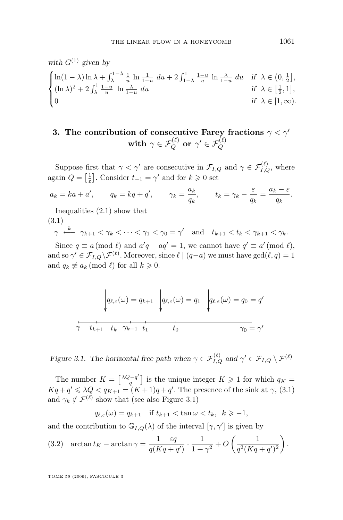<span id="page-19-0"></span>with 
$$
G^{(1)}
$$
 given by  
\n
$$
\begin{cases}\n\ln(1-\lambda)\ln\lambda + \int_{\lambda}^{1-\lambda} \frac{1}{u} \ln \frac{1}{1-u} du + 2 \int_{1-\lambda}^{1} \frac{1-u}{u} \ln \frac{\lambda}{1-u} du & \text{if } \lambda \in (0, \frac{1}{2}], \\
(\ln \lambda)^2 + 2 \int_{\lambda}^{1} \frac{1-u}{u} \ln \frac{\lambda}{1-u} du & \text{if } \lambda \in [\frac{1}{2}, 1], \\
0 & \text{if } \lambda \in [1, \infty).\n\end{cases}
$$

## **3.** The contribution of consecutive Farey fractions  $\gamma < \gamma'$  $\textbf{with} \ \ \gamma \in \mathcal{F}_Q^{(\ell)} \ \textbf{or} \ \ \gamma' \in \mathcal{F}_Q^{(\ell)}$

Suppose first that  $\gamma < \gamma'$  are consecutive in  $\mathcal{F}_{I,Q}$  and  $\gamma \in \mathcal{F}_{I,Q}^{(\ell)}$ , where again  $Q = \left[\frac{1}{\varepsilon}\right]$ . Consider  $t_{-1} = \gamma'$  and for  $k \geqslant 0$  set

$$
a_k = ka + a'
$$
,  $q_k = kq + q'$ ,  $\gamma_k = \frac{a_k}{q_k}$ ,  $t_k = \gamma_k - \frac{\varepsilon}{q_k} = \frac{a_k - \varepsilon}{q_k}$ .

Inequalities [\(2.1\)](#page-6-0) show that

$$
(3.1)
$$

$$
\gamma \stackrel{k}{\longleftarrow} \gamma_{k+1} < \gamma_k < \dots < \gamma_1 < \gamma_0 = \gamma' \quad \text{and} \quad t_{k+1} < t_k < \gamma_{k+1} < \gamma_k.
$$

Since  $q \equiv a \pmod{\ell}$  and  $a'q - aq' = 1$ , we cannot have  $q' \equiv a' \pmod{\ell}$ , and so  $\gamma' \in \mathcal{F}_{I,Q} \backslash \mathcal{F}^{(\ell)}$ . Moreover, since  $\ell \mid (q-a)$  we must have  $\gcd(\ell, q) = 1$ and  $q_k \not\equiv a_k \pmod{\ell}$  for all  $k \geqslant 0$ .

$$
q_{\ell,\varepsilon}(\omega) = q_{k+1} \quad \left| q_{\ell,\varepsilon}(\omega) = q_1 \quad \left| q_{\ell,\varepsilon}(\omega) = q_0 \right| = q'
$$
\n
$$
\overline{\gamma \quad t_{k+1} \quad t_k \quad \gamma_{k+1} \quad t_1 \quad t_0} \qquad \qquad \gamma_0 = \gamma'
$$

*Figure 3.1.* The horizontal free path when  $\gamma \in \mathcal{F}_{I,Q}^{(\ell)}$  and  $\gamma' \in \mathcal{F}_{I,Q} \setminus \mathcal{F}^{(\ell)}$ 

The number  $K = \left[\frac{\lambda Q - q'}{q}\right]$  $\left[\frac{q'-q'}{q}\right]$  is the unique integer  $K \geqslant 1$  for which  $q_K =$  $Kq + q' \leq \lambda Q < q_{K+1} = (K+1)q + q'.$  The presence of the sink at  $\gamma$ , (3.1) and  $\gamma_k \notin \mathcal{F}^{(\ell)}$  show that (see also Figure 3.1)

$$
q_{\ell,\varepsilon}(\omega) = q_{k+1} \quad \text{if } t_{k+1} < \tan \omega < t_k, \ \ k \geq -1,
$$

and the contribution to  $\mathbb{G}_{I,Q}(\lambda)$  of the interval  $[\gamma, \gamma']$  is given by

(3.2) 
$$
\arctan t_K - \arctan \gamma = \frac{1 - \varepsilon q}{q(Kq + q')} \cdot \frac{1}{1 + \gamma^2} + O\left(\frac{1}{q^2(Kq + q')^2}\right).
$$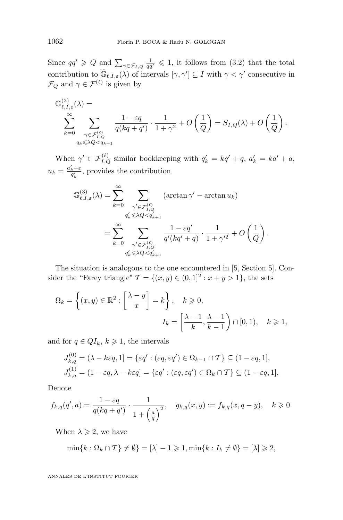Since  $qq' \geq Q$  and  $\sum_{\gamma \in \mathcal{F}_{I,Q}} \frac{1}{qq'} \leq 1$ , it follows from [\(3.2\)](#page-19-0) that the total contribution to  $\tilde{\mathbb{G}}_{\ell,I,\varepsilon}(\lambda)$  of intervals  $[\gamma,\gamma'] \subseteq I$  with  $\gamma < \gamma'$  consecutive in  $\mathcal{F}_Q$  and  $\gamma \in \mathcal{F}^{(\ell)}$  is given by

$$
\begin{split} \mathbb{G}^{(2)}_{\ell,I,\varepsilon}(\lambda)=&\\ \sum_{k=0}^{\infty}\sum_{\substack{\gamma\in\mathcal{F}^{(\ell)}_{I,Q}\\ q_k\leqslant \lambda Q< q_{k+1}}}\frac{1-\varepsilon q}{q(kq+q')}\cdot\frac{1}{1+\gamma^2}+O\left(\frac{1}{Q}\right)=S_{I,Q}(\lambda)+O\left(\frac{1}{Q}\right). \end{split}
$$

When  $\gamma' \in \mathcal{F}_{I,Q}^{(\ell)}$  similar bookkeeping with  $q'_k = kq' + q$ ,  $a'_k = ka' + a$ ,  $u_k = \frac{a'_k + \varepsilon}{q'_k}$ , provides the contribution

$$
\mathbb{G}_{\ell,I,\varepsilon}^{(3)}(\lambda) = \sum_{k=0}^{\infty} \sum_{\substack{\gamma' \in \mathcal{F}_{I,Q}^{(\ell)} \\ q'_k \leqslant \lambda Q < q'_{k+1}}} (\arctan \gamma' - \arctan u_k)
$$
\n
$$
= \sum_{k=0}^{\infty} \sum_{\substack{\gamma' \in \mathcal{F}_{I,Q}^{(\ell)} \\ q'_k \leqslant \lambda Q < q'_{k+1}}} \frac{1 - \varepsilon q'}{q'(kq' + q)} \cdot \frac{1}{1 + \gamma'^2} + O\left(\frac{1}{Q}\right).
$$

The situation is analogous to the one encountered in [\[5,](#page-32-0) Section 5]. Consider the "Farey triangle"  $\mathcal{T} = \{(x, y) \in (0, 1]^2 : x + y > 1\}$ , the sets

$$
\Omega_k = \left\{ (x, y) \in \mathbb{R}^2 : \left[ \frac{\lambda - y}{x} \right] = k \right\}, \quad k \geqslant 0,
$$

$$
I_k = \left[ \frac{\lambda - 1}{k}, \frac{\lambda - 1}{k - 1} \right] \cap [0, 1), \quad k \geqslant 1,
$$

and for  $q \in QI_k$ ,  $k \geq 1$ , the intervals

$$
J_{k,q}^{(0)} = (\lambda - k\varepsilon q, 1] = \{\varepsilon q' : (\varepsilon q, \varepsilon q') \in \Omega_{k-1} \cap T\} \subseteq (1 - \varepsilon q, 1],
$$
  

$$
J_{k,q}^{(1)} = (1 - \varepsilon q, \lambda - k\varepsilon q] = \{\varepsilon q' : (\varepsilon q, \varepsilon q') \in \Omega_k \cap T\} \subseteq (1 - \varepsilon q, 1].
$$

Denote

$$
f_{k,q}(q',a) = \frac{1 - \varepsilon q}{q(kq + q')} \cdot \frac{1}{1 + \left(\frac{a}{q}\right)^2}, \quad g_{k,q}(x,y) := f_{k,q}(x,q-y), \quad k \geq 0.
$$

When  $\lambda \geqslant 2$ , we have

$$
\min\{k:\Omega_k\cap T\}\neq\emptyset\}=[\lambda]-1\geqslant 1,\min\{k:I_k\neq\emptyset\}=[\lambda]\geqslant 2,
$$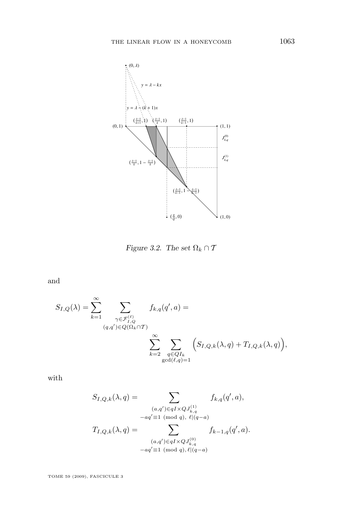

*Figure 3.2. The set*  $\Omega_k \cap T$ 

and

$$
S_{I,Q}(\lambda) = \sum_{k=1}^{\infty} \sum_{\substack{\gamma \in \mathcal{F}_{I,Q}^{(\ell)} \\ (q,q') \in Q(\Omega_k \cap T)}} f_{k,q}(q',a) = \sum_{\substack{\gamma \in \mathcal{F}_{I,Q}^{(\ell)} \\ \sum_{k=2}^{\infty} \sum_{\substack{q \in QI_k \\ \gcd(\ell,q)=1}}} \left( S_{I,Q,k}(\lambda,q) + T_{I,Q,k}(\lambda,q) \right),
$$

with

$$
S_{I,Q,k}(\lambda, q) = \sum_{\substack{(a,q') \in qI \times QJ_{k,q}^{(1)} \ aq' \equiv 1 \pmod{q}, \ \ell|(q-a)}} f_{k,q}(q',a),
$$

$$
-aq' \equiv 1 \pmod{q}, \ \ell|(q-a)
$$

$$
T_{I,Q,k}(\lambda, q) = \sum_{\substack{(a,q') \in qI \times QJ_{k,q}^{(0)} \ aq' \equiv 1 \pmod{q}, \ \ell|(q-a)}} f_{k-1,q}(q',a).
$$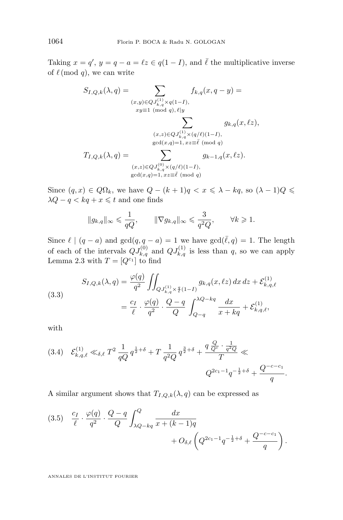<span id="page-22-0"></span>Taking  $x = q'$ ,  $y = q - a = \ell z \in q(1 - I)$ , and  $\overline{\ell}$  the multiplicative inverse of  $\ell \pmod{q}$ , we can write

$$
S_{I,Q,k}(\lambda, q) = \sum_{\substack{(x,y)\in QJ_{k,q}^{(1)}\times q(1-I),\\xy\equiv 1\pmod{q}, \ell|y}} f_{k,q}(x, q - y) =
$$
  

$$
\sum_{\substack{(x,z)\in QJ_{k,q}^{(1)}\times (q/\ell)(1-I),\\gcd(x,q)=1,\ xz\equiv \ell\pmod{q}}} g_{k,q}(x, \ell z),
$$
  

$$
T_{I,Q,k}(\lambda, q) = \sum_{\substack{(x,z)\in QJ_{k,q}^{(0)}\times (q/\ell)(1-I),\\gcd(x,q)=1,\ xz\equiv \ell\pmod{q}}} g_{k-1,q}(x, \ell z).
$$

Since  $(q, x) \in Q\Omega_k$ , we have  $Q - (k + 1)q < x \leq \lambda - kq$ , so  $(\lambda - 1)Q \leq$  $\lambda Q - q < kq + x \leq t$  and one finds

$$
||g_{k,q}||_{\infty} \leqslant \frac{1}{qQ}, \qquad ||\nabla g_{k,q}||_{\infty} \leqslant \frac{3}{q^2Q}, \qquad \forall k \geqslant 1.
$$

Since  $\ell \mid (q - a)$  and  $gcd(q, q - a) = 1$  we have  $gcd(\overline{\ell}, q) = 1$ . The length of each of the intervals  $QJ_{k,q}^{(0)}$  and  $QJ_{k,q}^{(1)}$  is less than q, so we can apply Lemma [2.3](#page-11-0) with  $T = [Q^{c_1}]$  to find

(3.3)  

$$
S_{I,Q,k}(\lambda, q) = \frac{\varphi(q)}{q^2} \iint_{QJ_{k,q}^{(1)} \times \frac{q}{\ell}(1-I)} g_{k,q}(x, \ell z) dx dz + \mathcal{E}_{k,q,\ell}^{(1)}
$$

$$
= \frac{c_I}{\ell} \cdot \frac{\varphi(q)}{q^2} \cdot \frac{Q-q}{Q} \int_{Q-q}^{\lambda Q - kq} \frac{dx}{x + kq} + \mathcal{E}_{k,q,\ell}^{(1)},
$$

with

$$
(3.4) \quad \mathcal{E}_{k,q,\ell}^{(1)} \ll_{\delta,\ell} T^2 \frac{1}{qQ} q^{\frac{1}{2}+\delta} + T \frac{1}{q^2Q} q^{\frac{3}{2}+\delta} + \frac{q \frac{Q}{Q^c} \cdot \frac{1}{q^2Q}}{T} \ll
$$
  

$$
Q^{2c_1-1} q^{-\frac{1}{2}+\delta} + \frac{Q^{-c-c_1}}{q}.
$$

A similar argument shows that  $T_{I,Q,k}(\lambda, q)$  can be expressed as

$$
(3.5) \quad \frac{c_I}{\ell} \cdot \frac{\varphi(q)}{q^2} \cdot \frac{Q - q}{Q} \int_{\lambda Q - kq}^{Q} \frac{dx}{x + (k-1)q} + O_{\delta,\ell} \left( Q^{2c_1 - 1} q^{-\frac{1}{2} + \delta} + \frac{Q^{-c - c_1}}{q} \right).
$$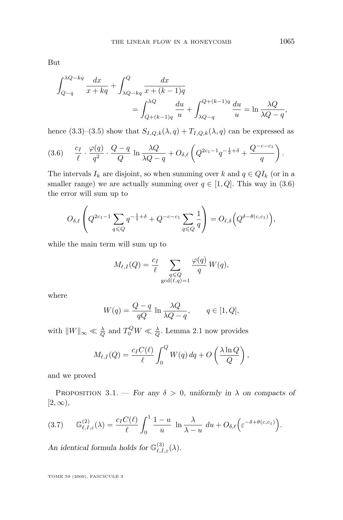<span id="page-23-0"></span>But

$$
\int_{Q-q}^{\lambda Q - kq} \frac{dx}{x + kq} + \int_{\lambda Q - kq}^{Q} \frac{dx}{x + (k-1)q} \n= \int_{Q + (k-1)q}^{\lambda Q} \frac{du}{u} + \int_{\lambda Q - q}^{Q + (k-1)q} \frac{du}{u} = \ln \frac{\lambda Q}{\lambda Q - q},
$$

hence [\(3.3\)](#page-22-0)–[\(3.5\)](#page-22-0) show that  $S_{I,Q,k}(\lambda, q) + T_{I,Q,k}(\lambda, q)$  can be expressed as

$$
(3.6) \quad \frac{c_I}{\ell} \cdot \frac{\varphi(q)}{q^2} \cdot \frac{Q-q}{Q} \ln \frac{\lambda Q}{\lambda Q-q} + O_{\delta,\ell} \left( Q^{2c_1-1} q^{-\frac{1}{2}+\delta} + \frac{Q^{-c-c_1}}{q} \right).
$$

The intervals  $I_k$  are disjoint, so when summing over k and  $q \in QI_k$  (or in a smaller range) we are actually summing over  $q \in [1, Q]$ . This way in  $(3.6)$ the error will sum up to

$$
O_{\delta,\ell}\left(Q^{2c_1-1}\sum_{q\leq Q}q^{-\frac{1}{2}+\delta}+Q^{-c-c_1}\sum_{q\leq Q}\frac{1}{q}\right)=O_{\ell,\delta}\Big(Q^{\delta-\theta(c,c_1)}\Big),
$$

while the main term will sum up to

$$
M_{\ell,I}(Q) = \frac{c_I}{\ell} \sum_{\substack{q \le Q \\ \gcd(\ell,q)=1}} \frac{\varphi(q)}{q} W(q),
$$

where

$$
W(q) = \frac{Q - q}{qQ} \ln \frac{\lambda Q}{\lambda Q - q}, \qquad q \in [1, Q],
$$

with  $||W||_{\infty} \ll \frac{\lambda}{Q}$  and  $T_0^Q W \ll \frac{\lambda}{Q}$ . Lemma [2.1](#page-9-0) now provides

$$
M_{\ell,I}(Q) = \frac{c_I C(\ell)}{\ell} \int_0^Q W(q) \, dq + O\left(\frac{\lambda \ln Q}{Q}\right),
$$

and we proved

PROPOSITION 3.1. — *For any*  $\delta > 0$ *, uniformly in*  $\lambda$  *on compacts of* [2,∞)*,*

$$
(3.7) \t\mathbb{G}_{\ell,I,\varepsilon}^{(2)}(\lambda) = \frac{c_I C(\ell)}{\ell} \int_0^1 \frac{1-u}{u} \ln \frac{\lambda}{\lambda-u} \ du + O_{\delta,\ell}\Big(\varepsilon^{-\delta+\theta(c,c_1)}\Big).
$$

An identical formula holds for  $\mathbb{G}^{(3)}_{\ell,I,\varepsilon}(\lambda)$ .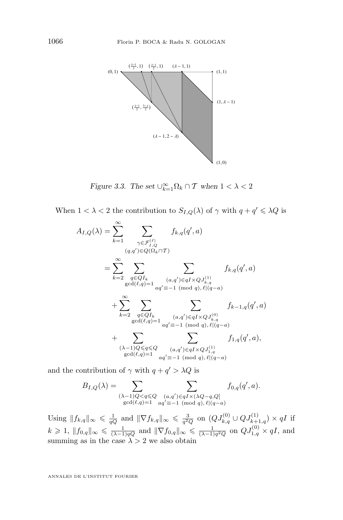<span id="page-24-0"></span>

*Figure 3.3. The set*  $\bigcup_{k=1}^{\infty} \Omega_k \cap T$  *when*  $1 < \lambda < 2$ 

When  $1 < \lambda < 2$  the contribution to  $S_{I,Q}(\lambda)$  of  $\gamma$  with  $q + q' \leq \lambda Q$  is

$$
A_{I,Q}(\lambda) = \sum_{k=1}^{\infty} \sum_{\substack{\gamma \in \mathcal{F}_{I,Q}^{(\ell)} \\ (q,q') \in Q(\Omega_k \cap T)}} f_{k,q}(q',a)
$$
  
\n
$$
= \sum_{k=2}^{\infty} \sum_{\substack{q \in QI_k \\ \gcd(\ell,q)=1}} \sum_{\substack{(a,q') \in qI \times QJ_{k,q}^{(1)} \\ (a,q') \in qI \times QJ_{k,q}^{(1)} }} f_{k,q}(q',a)
$$
  
\n
$$
+ \sum_{k=2}^{\infty} \sum_{\substack{q \in QI_k \\ \gcd(\ell,q)=1}} \sum_{\substack{(a,q') \in qI \times QJ_{k,q}^{(0)} \\ (a,q') \in qI \times QJ_{k,q}^{(0)} }} f_{k-1,q}(q',a)
$$
  
\n
$$
+ \sum_{\substack{(\lambda-1)Q \leq q \leq Q \\ \gcd(\ell,q)=1}} \sum_{\substack{(a,q') \in qI \times QJ_{k,q}^{(1)} \\ (a,q') \in qI \times QJ_{1,q}^{(1)} }} f_{1,q}(q',a),
$$

and the contribution of  $\gamma$  with  $q + q' > \lambda Q$  is

$$
B_{I,Q}(\lambda) = \sum_{\substack{(\lambda-1)Q < q \leq Q\\ \gcd(\ell,q)=1}} \sum_{\substack{(a,q') \in qI \times (\lambda Q - q,Q] \\ aq' \equiv -1 \pmod{q}, \ell|(q-a)}} f_{0,q}(q',a).
$$

Using  $||f_{k,q}||_{\infty} \leqslant \frac{1}{qQ}$  and  $||\nabla f_{k,q}||_{\infty} \leqslant \frac{3}{q^2Q}$  on  $(QJ_{k,q}^{(0)} \cup QJ_{k+1,q}^{(1)}) \times qI$  if  $k \geq 1, \|f_{0,q}\|_{\infty} \leq \frac{1}{(\lambda-1)qQ}$  and  $\|\nabla f_{0,q}\|_{\infty} \leq \frac{1}{(\lambda-1)q^2Q}$  on  $QJ_{1,q}^{(0)} \times qI$ , and summing as in the case  $\lambda > 2$  we also obtain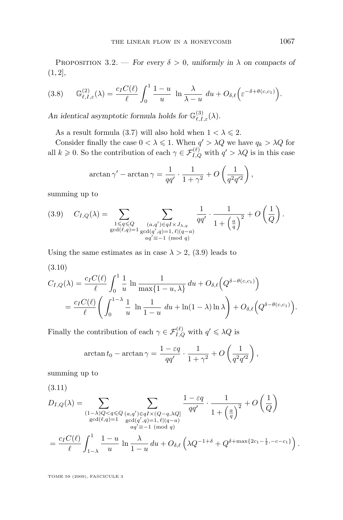<span id="page-25-0"></span>PROPOSITION 3.2. — *For every*  $\delta > 0$ , uniformly in  $\lambda$  on compacts of (1, 2]*,*

$$
(3.8) \t\mathbb{G}_{\ell,I,\varepsilon}^{(2)}(\lambda) = \frac{c_I C(\ell)}{\ell} \int_0^1 \frac{1-u}{u} \ln \frac{\lambda}{\lambda-u} \ du + O_{\delta,\ell}\Big(\varepsilon^{-\delta+\theta(c,c_1)}\Big).
$$

An identical asymptotic formula holds for  $\mathbb{G}^{(3)}_{\ell,I,\varepsilon}(\lambda)$ .

As a result formula [\(3.7\)](#page-23-0) will also hold when  $1 < \lambda \leq 2$ .

Consider finally the case  $0 < \lambda \leq 1$ . When  $q' > \lambda Q$  we have  $q_k > \lambda Q$  for all  $k \geq 0$ . So the contribution of each  $\gamma \in \mathcal{F}_{I,Q}^{(\ell)}$  with  $q' > \lambda Q$  is in this case

$$
\arctan\gamma' - \arctan\gamma = \frac{1}{qq'} \cdot \frac{1}{1+\gamma^2} + O\left(\frac{1}{q^2q'^2}\right),\,
$$

summing up to

$$
(3.9) \quad C_{I,Q}(\lambda) = \sum_{\substack{1 \leq q \leq Q \\ \gcd(\ell,q)=1}} \sum_{\substack{(a,q') \in qI \times J_{\lambda,q} \\ \gcd(q',q)=1, \ell|(q-a)}} \frac{1}{qq'} \cdot \frac{1}{1 + \left(\frac{a}{q}\right)^2} + O\left(\frac{1}{Q}\right).
$$

Using the same estimates as in case  $\lambda > 2$ , (3.9) leads to

(3.10)

$$
C_{I,Q}(\lambda) = \frac{c_I C(\ell)}{\ell} \int_0^1 \frac{1}{u} \ln \frac{1}{\max\{1-u,\lambda\}} du + O_{\delta,\ell}\Big(Q^{\delta-\theta(c,c_1)}\Big)
$$
  
= 
$$
\frac{c_I C(\ell)}{\ell} \Bigg( \int_0^{1-\lambda} \frac{1}{u} \ln \frac{1}{1-u} du + \ln(1-\lambda) \ln \lambda \Bigg) + O_{\delta,\ell}\Big(Q^{\delta-\theta(c,c_1)}\Big).
$$

Finally the contribution of each  $\gamma \in \mathcal{F}_{I,Q}^{(\ell)}$  with  $q' \leq \lambda Q$  is

$$
\arctan t_0 - \arctan \gamma = \frac{1 - \varepsilon q}{qq'} \cdot \frac{1}{1 + \gamma^2} + O\left(\frac{1}{q^2 q'^2}\right),\,
$$

summing up to

(3.11)  
\n
$$
D_{I,Q}(\lambda) = \sum_{\substack{(1-\lambda)Q < q \leq Q}} \sum_{\substack{(a,q') \in qI \times (Q-q,\lambda Q] \\ \gcd(\ell,q)=1}} \frac{1-\varepsilon q}{qq'} \cdot \frac{1}{1+\left(\frac{a}{q}\right)^2} + O\left(\frac{1}{Q}\right)
$$
\n
$$
= \frac{c_I C(\ell)}{\ell} \int_{1-\lambda}^1 \frac{1-u}{u} \ln \frac{\lambda}{1-u} du + O_{\delta,\ell} \left(\lambda Q^{-1+\delta} + Q^{\delta + \max\{2c_1 - \frac{1}{2}, -c-c_1\}}\right).
$$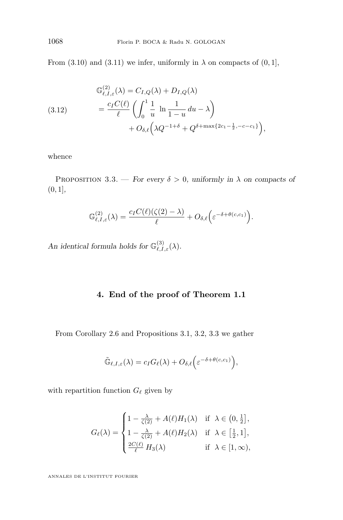From [\(3.10\)](#page-25-0) and [\(3.11\)](#page-25-0) we infer, uniformly in  $\lambda$  on compacts of (0, 1],

(3.12) 
$$
\mathbb{G}_{\ell,I,\varepsilon}^{(2)}(\lambda) = C_{I,Q}(\lambda) + D_{I,Q}(\lambda)
$$

$$
= \frac{c_I C(\ell)}{\ell} \left( \int_0^1 \frac{1}{u} \ln \frac{1}{1-u} du - \lambda \right) + O_{\delta,\ell} \left( \lambda Q^{-1+\delta} + Q^{\delta + \max\{2c_1 - \frac{1}{2}, -c - c_1\}} \right),
$$

whence

PROPOSITION 3.3. — *For every*  $\delta > 0$ *, uniformly in*  $\lambda$  *on compacts of* (0, 1]*,*

$$
\mathbb{G}_{\ell,I,\varepsilon}^{(2)}(\lambda) = \frac{c_I C(\ell)(\zeta(2)-\lambda)}{\ell} + O_{\delta,\ell}\Big(\varepsilon^{-\delta+\theta(c,c_1)}\Big).
$$

An identical formula holds for  $\mathbb{G}^{(3)}_{\ell,I,\varepsilon}(\lambda)$ .

### **4. End of the proof of Theorem [1.1](#page-3-0)**

From Corollary [2.6](#page-18-0) and Propositions [3.1,](#page-23-0) [3.2,](#page-24-0) 3.3 we gather

$$
\tilde{\mathbb{G}}_{\ell,I,\varepsilon}(\lambda) = c_I G_{\ell}(\lambda) + O_{\delta,\ell}\Big(\varepsilon^{-\delta + \theta(c,c_1)}\Big),
$$

with repartition function  $G_\ell$  given by

$$
G_{\ell}(\lambda) = \begin{cases} 1 - \frac{\lambda}{\zeta(2)} + A(\ell)H_1(\lambda) & \text{if } \lambda \in (0, \frac{1}{2}], \\ 1 - \frac{\lambda}{\zeta(2)} + A(\ell)H_2(\lambda) & \text{if } \lambda \in [\frac{1}{2}, 1], \\ \frac{2C(\ell)}{\ell} H_3(\lambda) & \text{if } \lambda \in [1, \infty), \end{cases}
$$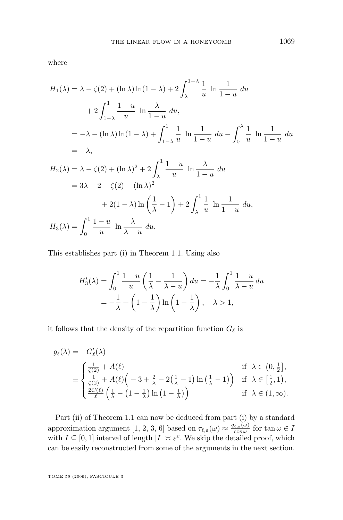where

$$
H_1(\lambda) = \lambda - \zeta(2) + (\ln \lambda) \ln(1 - \lambda) + 2 \int_{\lambda}^{1 - \lambda} \frac{1}{u} \ln \frac{1}{1 - u} du
$$
  
+ 
$$
2 \int_{1 - \lambda}^{1} \frac{1 - u}{u} \ln \frac{\lambda}{1 - u} du,
$$
  
= 
$$
-\lambda - (\ln \lambda) \ln(1 - \lambda) + \int_{1 - \lambda}^{1} \frac{1}{u} \ln \frac{1}{1 - u} du - \int_{0}^{\lambda} \frac{1}{u} \ln \frac{1}{1 - u} du
$$
  
= 
$$
-\lambda,
$$
  

$$
H_2(\lambda) = \lambda - \zeta(2) + (\ln \lambda)^2 + 2 \int_{\lambda}^{1} \frac{1 - u}{u} \ln \frac{\lambda}{1 - u} du
$$
  
= 
$$
3\lambda - 2 - \zeta(2) - (\ln \lambda)^2
$$
  
+ 
$$
2(1 - \lambda) \ln \left(\frac{1}{\lambda} - 1\right) + 2 \int_{\lambda}^{1} \frac{1}{u} \ln \frac{1}{1 - u} du,
$$
  

$$
H_3(\lambda) = \int_{0}^{1} \frac{1 - u}{u} \ln \frac{\lambda}{\lambda - u} du.
$$

This establishes part (i) in Theorem [1.1.](#page-3-0) Using also

$$
H_3'(\lambda) = \int_0^1 \frac{1-u}{u} \left(\frac{1}{\lambda} - \frac{1}{\lambda - u}\right) du = -\frac{1}{\lambda} \int_0^1 \frac{1-u}{\lambda - u} du
$$
  
=  $-\frac{1}{\lambda} + \left(1 - \frac{1}{\lambda}\right) \ln\left(1 - \frac{1}{\lambda}\right), \quad \lambda > 1,$ 

it follows that the density of the repartition function  $G_{\ell}$  is

$$
g_{\ell}(\lambda) = -G'_{\ell}(\lambda)
$$
  
\n
$$
= \begin{cases} \frac{1}{\zeta(2)} + A(\ell) & \text{if } \lambda \in \left(0, \frac{1}{2}\right], \\ \frac{1}{\zeta(2)} + A(\ell) \left(-3 + \frac{2}{\lambda} - 2\left(\frac{1}{\lambda} - 1\right) \ln\left(\frac{1}{\lambda} - 1\right)\right) & \text{if } \lambda \in \left[\frac{1}{2}, 1\right), \\ \frac{2C(\ell)}{\ell} \left(\frac{1}{\lambda} - \left(1 - \frac{1}{\lambda}\right) \ln\left(1 - \frac{1}{\lambda}\right)\right) & \text{if } \lambda \in (1, \infty). \end{cases}
$$

Part (ii) of Theorem [1.1](#page-3-0) can now be deduced from part (i) by a standard approximation argument [\[1,](#page-32-0) [2,](#page-32-0) [3,](#page-32-0) [6\]](#page-32-0) based on  $\tau_{\ell,\varepsilon}(\omega) \approx \frac{q_{\ell,\varepsilon}(\omega)}{\cos \omega}$  for  $\tan \omega \in I$ with  $I \subseteq [0, 1]$  interval of length  $|I| \asymp \varepsilon^c$ . We skip the detailed proof, which can be easily reconstructed from some of the arguments in the next section.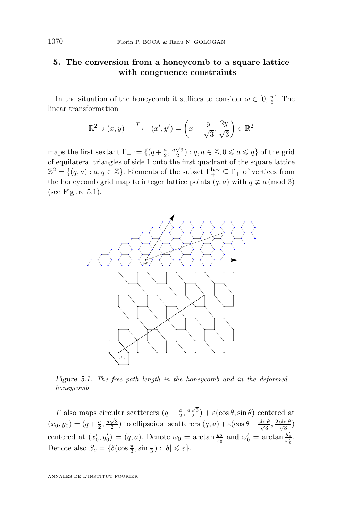#### <span id="page-28-0"></span>**5. The conversion from a honeycomb to a square lattice with congruence constraints**

In the situation of the honeycomb it suffices to consider  $\omega \in [0, \frac{\pi}{6}]$ . The linear transformation

$$
\mathbb{R}^2 \ni (x, y) \xrightarrow{T} \quad (x', y') = \left(x - \frac{y}{\sqrt{3}}, \frac{2y}{\sqrt{3}}\right) \in \mathbb{R}^2
$$

maps the first sextant  $\Gamma_+ := \{(q + \frac{a}{2}, \frac{a\sqrt{3}}{2}) : q, a \in \mathbb{Z}, 0 \leq a \leq q\}$  of the grid of equilateral triangles of side 1 onto the first quadrant of the square lattice  $\mathbb{Z}^2 = \{(q, a) : a, q \in \mathbb{Z}\}$ . Elements of the subset  $\Gamma^{\text{hex}}_+ \subseteq \Gamma_+$  of vertices from the honeycomb grid map to integer lattice points  $(q, a)$  with  $q \not\equiv a \pmod{3}$ (see Figure 5.1).



*Figure 5.1. The free path length in the honeycomb and in the deformed honeycomb*

T also maps circular scatterers  $(q + \frac{a}{2}, \frac{a\sqrt{3}}{2}) + \varepsilon(\cos \theta, \sin \theta)$  centered at  $(x_0, y_0) = (q + \frac{a}{2}, \frac{a\sqrt{3}}{2})$  to ellipsoidal scatterers  $(q, a) + \varepsilon(\cos\theta - \frac{\sin\theta}{\sqrt{3}})$  $\frac{1}{3}$ ,  $\frac{2 \sin \theta}{\sqrt{3}}$  $\frac{\ln \theta}{3})$ centered at  $(x'_0, y'_0) = (q, a)$ . Denote  $\omega_0 = \arctan \frac{y_0}{x_0}$  and  $\omega'_0 = \arctan \frac{y'_0}{x'_0}$ . Denote also  $S_{\varepsilon} = \{ \delta(\cos \frac{\pi}{3}, \sin \frac{\pi}{3}) : |\delta| \leqslant \varepsilon \}.$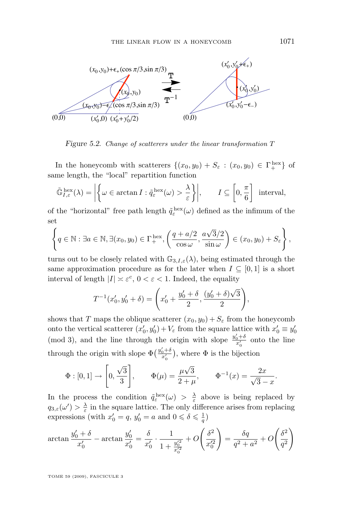<span id="page-29-0"></span>

*Figure 5.2. Change of scatterers under the linear transformation* T

In the honeycomb with scatterers  $\{(x_0, y_0) + S_{\varepsilon} : (x_0, y_0) \in \Gamma_+^{\text{hex}}\}$  of same length, the "local" repartition function

$$
\tilde{\mathbb{G}}_{I,\varepsilon}^{\text{hex}}(\lambda) = \left| \left\{ \omega \in \arctan I : \tilde{q}_{\varepsilon}^{\text{hex}}(\omega) > \frac{\lambda}{\varepsilon} \right\} \right|, \qquad I \subseteq \left[ 0, \frac{\pi}{6} \right] \text{ interval},
$$

of the "horizontal" free path length  $\tilde{q}_{\varepsilon}^{\text{hex}}(\omega)$  defined as the infimum of the set

$$
\left\{q \in \mathbb{N}: \exists a \in \mathbb{N}, \exists (x_0, y_0) \in \Gamma_+^{\text{hex}}, \left(\frac{q + a/2}{\cos \omega}, \frac{a\sqrt{3}/2}{\sin \omega}\right) \in (x_0, y_0) + S_{\varepsilon}\right\},\right\}
$$

turns out to be closely related with  $\mathbb{G}_{3,I,\varepsilon}(\lambda)$ , being estimated through the same approximation procedure as for the later when  $I \subseteq [0,1]$  is a short interval of length  $|I| \n\approx \varepsilon^c$ ,  $0 < \varepsilon < 1$ . Indeed, the equality

$$
T^{-1}(x'_0, y'_0 + \delta) = \left(x'_0 + \frac{y'_0 + \delta}{2}, \frac{(y'_0 + \delta)\sqrt{3}}{2}\right),
$$

shows that T maps the oblique scatterer  $(x_0, y_0) + S_\varepsilon$  from the honeycomb onto the vertical scatterer  $(x'_0, y'_0) + V_\varepsilon$  from the square lattice with  $x'_0 \equiv y'_0$ (mod 3), and the line through the origin with slope  $\frac{y'_0+\delta}{x'_0}$  onto the line through the origin with slope  $\Phi\left(\frac{y'_0+\delta}{x'_0}\right)$ , where  $\Phi$  is the bijection

$$
\Phi : [0, 1] \to \left[0, \frac{\sqrt{3}}{3}\right], \qquad \Phi(\mu) = \frac{\mu\sqrt{3}}{2 + \mu}, \qquad \Phi^{-1}(x) = \frac{2x}{\sqrt{3} - x}.
$$

In the process the condition  $\tilde{q}_{\varepsilon}^{\text{hex}}(\omega) > \frac{\lambda}{\varepsilon}$  above is being replaced by  $q_{3,\varepsilon}(\omega') > \frac{\lambda}{\varepsilon}$  in the square lattice. The only difference arises from replacing expressions (with  $x'_0 = q$ ,  $y'_0 = a$  and  $0 \le \delta \le \frac{1}{q}$ )

$$
\arctan \frac{y_0' + \delta}{x_0'} - \arctan \frac{y_0'}{x_0'} = \frac{\delta}{x_0'} \cdot \frac{1}{1 + \frac{y_0'^2}{x_0'^2}} + O\left(\frac{\delta^2}{x_0'^2}\right) = \frac{\delta q}{q^2 + a^2} + O\left(\frac{\delta^2}{q^2}\right)
$$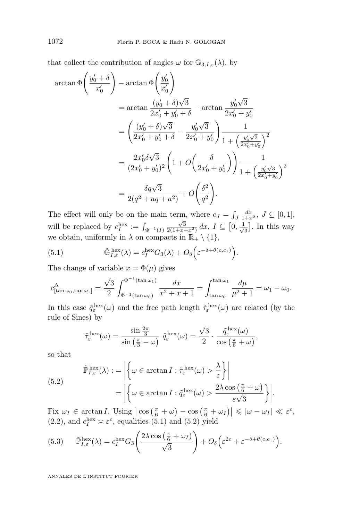<span id="page-30-0"></span>that collect the contribution of angles  $\omega$  for  $\mathbb{G}_{3,I,\varepsilon}(\lambda)$ , by

$$
\arctan \Phi \left( \frac{y_0' + \delta}{x_0'} \right) - \arctan \Phi \left( \frac{y_0'}{x_0'} \right)
$$
  
\n
$$
= \arctan \frac{(y_0' + \delta)\sqrt{3}}{2x_0' + y_0' + \delta} - \arctan \frac{y_0' \sqrt{3}}{2x_0' + y_0'}
$$
  
\n
$$
= \left( \frac{(y_0' + \delta)\sqrt{3}}{2x_0' + y_0' + \delta} - \frac{y_0' \sqrt{3}}{2x_0' + y_0'} \right) \frac{1}{1 + \left( \frac{y_0' \sqrt{3}}{2x_0' + y_0'} \right)^2}
$$
  
\n
$$
= \frac{2x_0' \delta \sqrt{3}}{(2x_0' + y_0')^2} \left( 1 + O \left( \frac{\delta}{2x_0' + y_0'} \right) \right) \frac{1}{1 + \left( \frac{y_0' \sqrt{3}}{2x_0' + y_0'} \right)^2}
$$
  
\n
$$
= \frac{\delta q \sqrt{3}}{2(q^2 + aq + a^2)} + O \left( \frac{\delta^2}{q^2} \right).
$$

The effect will only be on the main term, where  $c_J = \int_J \frac{dx}{1+x^2}$ ,  $J \subseteq [0,1]$ , J will be replaced by  $c_I^{\text{hex}} := \int_{\Phi^{-1}(I)}$  $\frac{\sqrt{3}}{2(1+x+x^2)} dx, I \subseteq [0, \frac{1}{\sqrt{3}}]$  $\frac{1}{3}$ . In this way we obtain, uniformly in  $\lambda$  on compacts in  $\mathbb{R}_+ \setminus \{1\}$ ,

(5.1) 
$$
\tilde{\mathbb{G}}_{I,\varepsilon}^{\text{hex}}(\lambda) = c_I^{\text{hex}} G_3(\lambda) + O_\delta\left(\varepsilon^{-\delta + \theta(c,c_1)}\right).
$$

The change of variable  $x = \Phi(\mu)$  gives

$$
c_{[\tan \omega_0, \tan \omega_1]}^{\Delta} = \frac{\sqrt{3}}{2} \int_{\Phi^{-1}(\tan \omega_0)}^{\Phi^{-1}(\tan \omega_1)} \frac{dx}{x^2 + x + 1} = \int_{\tan \omega_0}^{\tan \omega_1} \frac{d\mu}{\mu^2 + 1} = \omega_1 - \omega_0.
$$

In this case  $\tilde{q}_{\varepsilon}^{\text{hex}}(\omega)$  and the free path length  $\tilde{\tau}_{\varepsilon}^{\text{hex}}(\omega)$  are related (by the rule of Sines) by

$$
\tilde{\tau}_{\varepsilon}^{\text{ hex}}(\omega) = \frac{\sin \frac{2\pi}{3}}{\sin \left(\frac{\pi}{3} - \omega\right)} \; \tilde{q}_{\varepsilon}^{\text{ hex}}(\omega) = \frac{\sqrt{3}}{2} \cdot \frac{\tilde{q}_{\varepsilon}^{\text{ hex}}(\omega)}{\cos \left(\frac{\pi}{6} + \omega\right)},
$$

so that

(5.2)  
\n
$$
\tilde{\mathbb{P}}_{I,\varepsilon}^{\text{hex}}(\lambda) := \left| \left\{ \omega \in \arctan I : \tilde{\tau}_{\varepsilon}^{\text{hex}}(\omega) > \frac{\lambda}{\varepsilon} \right\} \right|
$$
\n
$$
= \left| \left\{ \omega \in \arctan I : \tilde{q}_{\varepsilon}^{\text{hex}}(\omega) > \frac{2\lambda \cos \left( \frac{\pi}{6} + \omega \right)}{\varepsilon \sqrt{3}} \right\} \right|.
$$

Fix  $\omega_I \in \arctan I$ . Using  $\left| \cos \left( \frac{\pi}{6} + \omega \right) - \cos \left( \frac{\pi}{6} + \omega_I \right) \right| \leqslant |\omega - \omega_I| \ll \varepsilon^c$ , [\(2.2\)](#page-6-0), and  $c_I^{\text{hex}} \asymp \varepsilon^c$ , equalities (5.1) and (5.2) yield

(5.3) 
$$
\tilde{\mathbb{P}}_{I,\varepsilon}^{\text{hex}}(\lambda) = c_I^{\text{hex}} G_3 \left( \frac{2\lambda \cos\left(\frac{\pi}{6} + \omega_I\right)}{\sqrt{3}} \right) + O_\delta \left( \varepsilon^{2c} + \varepsilon^{-\delta + \theta(c,c_1)} \right).
$$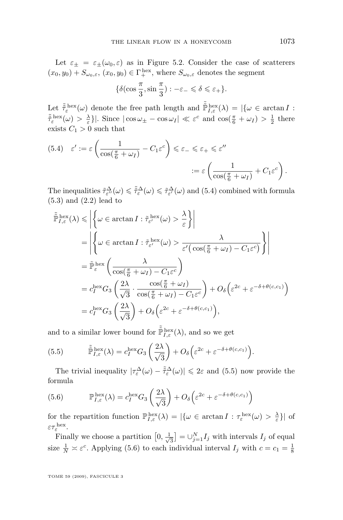Let  $\varepsilon_{\pm} = \varepsilon_{\pm}(\omega_0, \varepsilon)$  as in Figure [5.2.](#page-29-0) Consider the case of scatterers  $(x_0, y_0) + S_{\omega_0, \varepsilon}, (x_0, y_0) \in \Gamma_+^{\text{hex}}, \text{ where } S_{\omega_0, \varepsilon} \text{ denotes the segment}$ 

$$
\{\delta(\cos\frac{\pi}{3}, \sin\frac{\pi}{3}) : -\varepsilon_- \leq \delta \leq \varepsilon_+\}.
$$

Let  $\tilde{\tilde{\tau}}_{\varepsilon}^{\text{hex}}(\omega)$  denote the free path length and  $\tilde{\tilde{\mathbb{P}}}_{I,\varepsilon}^{\text{hex}}(\lambda) = |\{\omega \in \arctan I :$  $\tilde{\tau}_{\varepsilon}^{\text{hex}}(\omega) > \frac{\lambda}{\varepsilon}\}$ . Since  $|\cos \omega_{\pm} - \cos \omega_{I}| \ll \varepsilon^c$  and  $\cos(\frac{\pi}{6} + \omega_{I}) > \frac{1}{2}$  there exists  $C_1 > 0$  such that

(5.4) 
$$
\varepsilon' := \varepsilon \left( \frac{1}{\cos(\frac{\pi}{6} + \omega_I)} - C_1 \varepsilon^c \right) \le \varepsilon_- \le \varepsilon_+ \le \varepsilon''
$$
  

$$
:= \varepsilon \left( \frac{1}{\cos(\frac{\pi}{6} + \omega_I)} + C_1 \varepsilon^c \right).
$$

The inequalities  $\tilde{\tau}_{\varepsilon''}^{\Delta}(\omega) \leq \tilde{\tau}_{\varepsilon}^{\Delta}(\omega) \leq \tilde{\tau}_{\varepsilon'}^{\Delta}(\omega)$  and (5.4) combined with formula [\(5.3\)](#page-30-0) and [\(2.2\)](#page-6-0) lead to

$$
\tilde{\mathbb{P}}_{I,\varepsilon}^{\text{hex}}(\lambda) \leq \left| \left\{ \omega \in \arctan I : \tilde{\tau}_{\varepsilon'}^{\text{hex}}(\omega) > \frac{\lambda}{\varepsilon} \right\} \right|
$$
\n
$$
= \left| \left\{ \omega \in \arctan I : \tilde{\tau}_{\varepsilon'}^{\text{hex}}(\omega) > \frac{\lambda}{\varepsilon'(\cos(\frac{\pi}{6} + \omega_I) - C_1\varepsilon^c)} \right\} \right|
$$
\n
$$
= \tilde{\mathbb{P}}_{\varepsilon}^{\text{hex}} \left( \frac{\lambda}{\cos(\frac{\pi}{6} + \omega_I) - C_1\varepsilon^c} \right)
$$
\n
$$
= c_I^{\text{hex}} G_3 \left( \frac{2\lambda}{\sqrt{3}} \cdot \frac{\cos(\frac{\pi}{6} + \omega_I)}{\cos(\frac{\pi}{6} + \omega_I) - C_1\varepsilon^c} \right) + O_\delta \left( \varepsilon^{2c} + \varepsilon^{-\delta + \theta(c, c_1)} \right)
$$
\n
$$
= c_I^{\text{hex}} G_3 \left( \frac{2\lambda}{\sqrt{3}} \right) + O_\delta \left( \varepsilon^{2c} + \varepsilon^{-\delta + \theta(c, c_1)} \right),
$$

and to a similar lower bound for  $\tilde{\mathbb{P}}_{I,\varepsilon}^{\text{hex}}(\lambda)$ , and so we get

(5.5) 
$$
\tilde{\mathbb{P}}_{I,\varepsilon}^{\text{hex}}(\lambda) = c_I^{\text{hex}} G_3 \left( \frac{2\lambda}{\sqrt{3}} \right) + O_\delta \left( \varepsilon^{2c} + \varepsilon^{-\delta + \theta(c,c_1)} \right).
$$

The trivial inequality  $|\tau_{\varepsilon}^{\Delta}(\omega)-\tilde{\tau}_{\varepsilon}^{\Delta}(\omega)| \leq 2\varepsilon$  and (5.5) now provide the formula

(5.6) 
$$
\mathbb{P}^{\text{hex}}_{I,\varepsilon}(\lambda) = c_I^{\text{hex}} G_3 \left(\frac{2\lambda}{\sqrt{3}}\right) + O_\delta \left(\varepsilon^{2c} + \varepsilon^{-\delta + \theta(c,c_1)}\right)
$$

for the repartition function  $\mathbb{P}_{I,\varepsilon}^{\text{hex}}(\lambda) = |\{\omega \in \arctan I : \tau_{\varepsilon}^{\text{hex}}(\omega) > \frac{\lambda}{\varepsilon}\}|$  of  $\varepsilon\tau_{\varepsilon}^{\,\mathrm{hex}}.$ 

Finally we choose a partition  $[0, \frac{1}{\sqrt{2}}]$  $\left[\frac{1}{3}\right] = \bigcup_{j=1}^{N} I_j$  with intervals  $I_j$  of equal size  $\frac{1}{N} \approx \varepsilon^c$ . Applying (5.6) to each individual interval  $I_j$  with  $c = c_1 = \frac{1}{8}$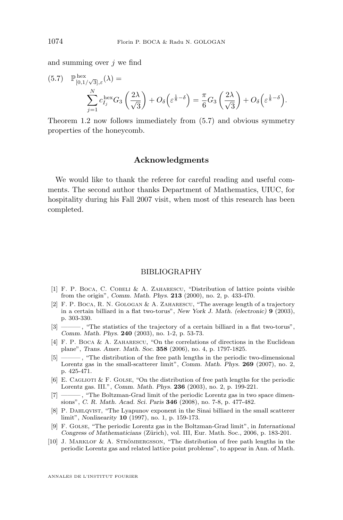<span id="page-32-0"></span>and summing over  $j$  we find

(5.7) 
$$
\mathbb{P}_{[0,1/\sqrt{3}],\varepsilon}^{\text{hex}}(\lambda) = \sum_{j=1}^{N} c_{I_j}^{\text{hex}} G_3\left(\frac{2\lambda}{\sqrt{3}}\right) + O_\delta\left(\varepsilon^{\frac{1}{8}-\delta}\right) = \frac{\pi}{6} G_3\left(\frac{2\lambda}{\sqrt{3}}\right) + O_\delta\left(\varepsilon^{\frac{1}{8}-\delta}\right).
$$

Theorem [1.2](#page-4-0) now follows immediately from (5.7) and obvious symmetry properties of the honeycomb.

#### **Acknowledgments**

We would like to thank the referee for careful reading and useful comments. The second author thanks Department of Mathematics, UIUC, for hospitality during his Fall 2007 visit, when most of this research has been completed.

#### BIBLIOGRAPHY

- [1] F. P. Boca, C. Cobeli & A. Zaharescu, "Distribution of lattice points visible from the origin", *Comm. Math. Phys.* **213** (2000), no. 2, p. 433-470.
- [2] F. P. Boca, R. N. Gologan & A. Zaharescu, "The average length of a trajectory in a certain billiard in a flat two-torus", *New York J. Math. (electronic)* **9** (2003), p. 303-330.
- [3] ——— , "The statistics of the trajectory of a certain billiard in a flat two-torus", *Comm. Math. Phys.* **240** (2003), no. 1-2, p. 53-73.
- [4] F. P. BOCA & A. ZAHARESCU, "On the correlations of directions in the Euclidean plane", *Trans. Amer. Math. Soc.* **358** (2006), no. 4, p. 1797-1825.
- [5] ——— , "The distribution of the free path lengths in the periodic two-dimensional Lorentz gas in the small-scatterer limit", *Comm. Math. Phys.* **269** (2007), no. 2, p. 425-471.
- [6] E. CAGLIOTI  $&$  F. GOLSE, "On the distribution of free path lengths for the periodic Lorentz gas. III.", *Comm. Math. Phys.* **236** (2003), no. 2, p. 199-221.
- [7] ——— , "The Boltzman-Grad limit of the periodic Lorentz gas in two space dimensions", *C. R. Math. Acad. Sci. Paris* **346** (2008), no. 7-8, p. 477-482.
- [8] P. DAHLQVIST, "The Lyapunov exponent in the Sinai billiard in the small scatterer limit", *Nonlinearity* **10** (1997), no. 1, p. 159-173.
- [9] F. Golse, "The periodic Lorentz gas in the Boltzman-Grad limit", in *International Congress of Mathematicians* (Zürich), vol. III, Eur. Math. Soc., 2006, p. 183-201.
- [10] J. Marklof & A. Strömbergsson, "The distribution of free path lengths in the periodic Lorentz gas and related lattice point problems", to appear in Ann. of Math.